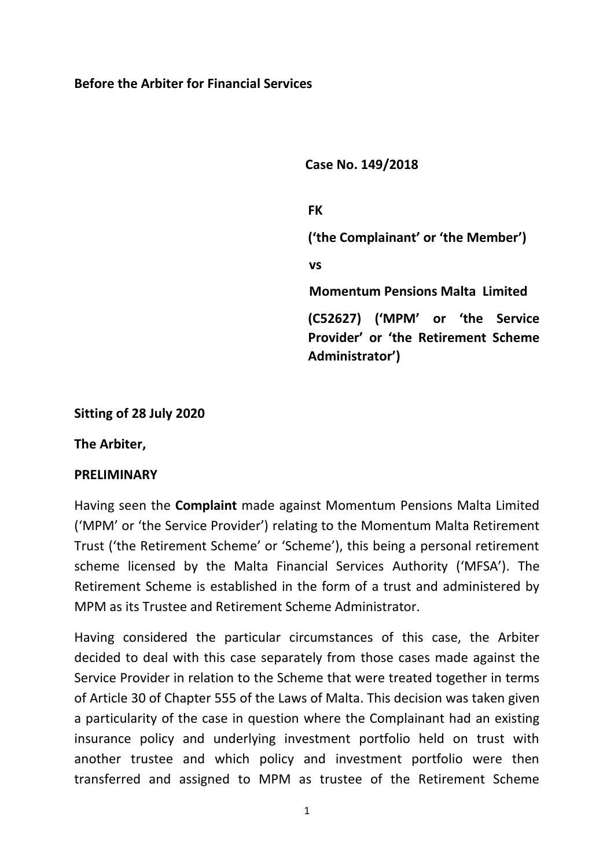#### **Before the Arbiter for Financial Services**

**Case No. 149/2018**

**FK ('the Complainant' or 'the Member') vs Momentum Pensions Malta Limited (C52627) ('MPM' or 'the Service Provider' or 'the Retirement Scheme Administrator')**

**Sitting of 28 July 2020**

**The Arbiter,**

#### **PRELIMINARY**

Having seen the **Complaint** made against Momentum Pensions Malta Limited ('MPM' or 'the Service Provider') relating to the Momentum Malta Retirement Trust ('the Retirement Scheme' or 'Scheme'), this being a personal retirement scheme licensed by the Malta Financial Services Authority ('MFSA'). The Retirement Scheme is established in the form of a trust and administered by MPM as its Trustee and Retirement Scheme Administrator.

Having considered the particular circumstances of this case, the Arbiter decided to deal with this case separately from those cases made against the Service Provider in relation to the Scheme that were treated together in terms of Article 30 of Chapter 555 of the Laws of Malta. This decision was taken given a particularity of the case in question where the Complainant had an existing insurance policy and underlying investment portfolio held on trust with another trustee and which policy and investment portfolio were then transferred and assigned to MPM as trustee of the Retirement Scheme

1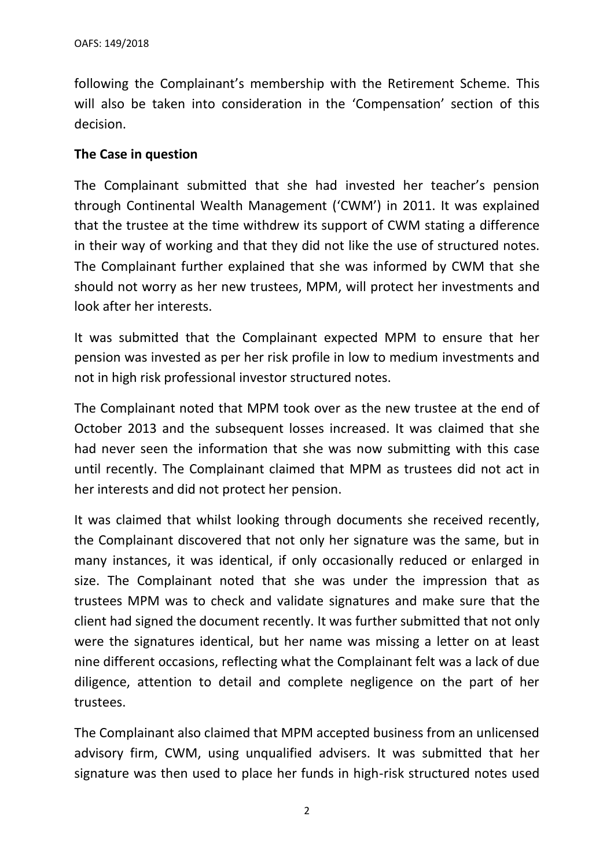following the Complainant's membership with the Retirement Scheme. This will also be taken into consideration in the 'Compensation' section of this decision.

#### **The Case in question**

The Complainant submitted that she had invested her teacher's pension through Continental Wealth Management ('CWM') in 2011. It was explained that the trustee at the time withdrew its support of CWM stating a difference in their way of working and that they did not like the use of structured notes. The Complainant further explained that she was informed by CWM that she should not worry as her new trustees, MPM, will protect her investments and look after her interests.

It was submitted that the Complainant expected MPM to ensure that her pension was invested as per her risk profile in low to medium investments and not in high risk professional investor structured notes.

The Complainant noted that MPM took over as the new trustee at the end of October 2013 and the subsequent losses increased. It was claimed that she had never seen the information that she was now submitting with this case until recently. The Complainant claimed that MPM as trustees did not act in her interests and did not protect her pension.

It was claimed that whilst looking through documents she received recently, the Complainant discovered that not only her signature was the same, but in many instances, it was identical, if only occasionally reduced or enlarged in size. The Complainant noted that she was under the impression that as trustees MPM was to check and validate signatures and make sure that the client had signed the document recently. It was further submitted that not only were the signatures identical, but her name was missing a letter on at least nine different occasions, reflecting what the Complainant felt was a lack of due diligence, attention to detail and complete negligence on the part of her trustees.

The Complainant also claimed that MPM accepted business from an unlicensed advisory firm, CWM, using unqualified advisers. It was submitted that her signature was then used to place her funds in high-risk structured notes used

2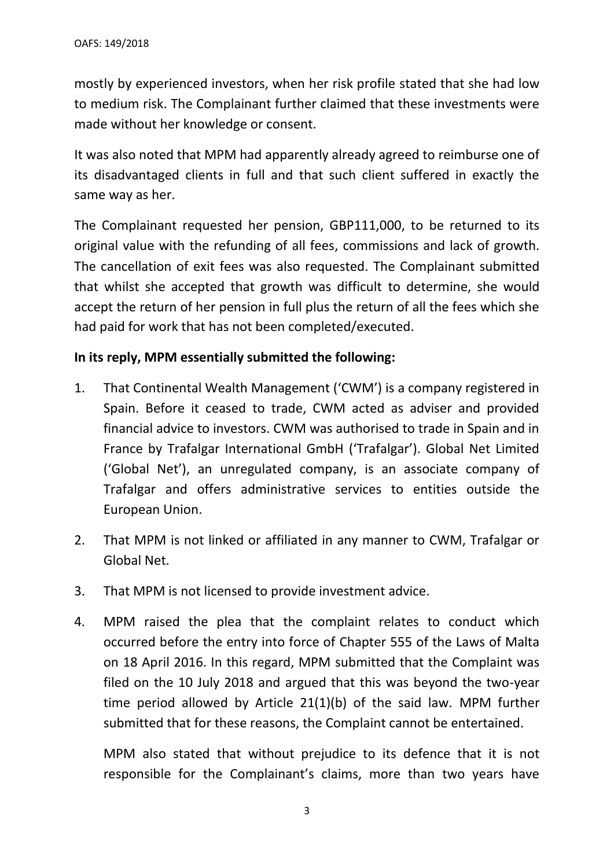mostly by experienced investors, when her risk profile stated that she had low to medium risk. The Complainant further claimed that these investments were made without her knowledge or consent.

It was also noted that MPM had apparently already agreed to reimburse one of its disadvantaged clients in full and that such client suffered in exactly the same way as her.

The Complainant requested her pension, GBP111,000, to be returned to its original value with the refunding of all fees, commissions and lack of growth. The cancellation of exit fees was also requested. The Complainant submitted that whilst she accepted that growth was difficult to determine, she would accept the return of her pension in full plus the return of all the fees which she had paid for work that has not been completed/executed.

## **In its reply, MPM essentially submitted the following:**

- 1. That Continental Wealth Management ('CWM') is a company registered in Spain. Before it ceased to trade, CWM acted as adviser and provided financial advice to investors. CWM was authorised to trade in Spain and in France by Trafalgar International GmbH ('Trafalgar'). Global Net Limited ('Global Net'), an unregulated company, is an associate company of Trafalgar and offers administrative services to entities outside the European Union.
- 2. That MPM is not linked or affiliated in any manner to CWM, Trafalgar or Global Net.
- 3. That MPM is not licensed to provide investment advice.
- 4. MPM raised the plea that the complaint relates to conduct which occurred before the entry into force of Chapter 555 of the Laws of Malta on 18 April 2016. In this regard, MPM submitted that the Complaint was filed on the 10 July 2018 and argued that this was beyond the two-year time period allowed by Article 21(1)(b) of the said law. MPM further submitted that for these reasons, the Complaint cannot be entertained.

MPM also stated that without prejudice to its defence that it is not responsible for the Complainant's claims, more than two years have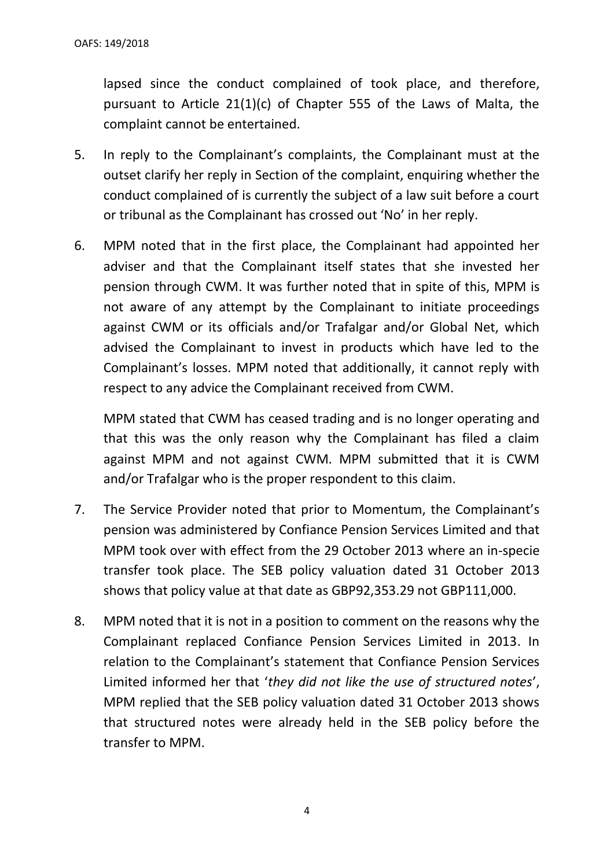lapsed since the conduct complained of took place, and therefore, pursuant to Article 21(1)(c) of Chapter 555 of the Laws of Malta, the complaint cannot be entertained.

- 5. In reply to the Complainant's complaints, the Complainant must at the outset clarify her reply in Section of the complaint, enquiring whether the conduct complained of is currently the subject of a law suit before a court or tribunal as the Complainant has crossed out 'No' in her reply.
- 6. MPM noted that in the first place, the Complainant had appointed her adviser and that the Complainant itself states that she invested her pension through CWM. It was further noted that in spite of this, MPM is not aware of any attempt by the Complainant to initiate proceedings against CWM or its officials and/or Trafalgar and/or Global Net, which advised the Complainant to invest in products which have led to the Complainant's losses. MPM noted that additionally, it cannot reply with respect to any advice the Complainant received from CWM.

MPM stated that CWM has ceased trading and is no longer operating and that this was the only reason why the Complainant has filed a claim against MPM and not against CWM. MPM submitted that it is CWM and/or Trafalgar who is the proper respondent to this claim.

- 7. The Service Provider noted that prior to Momentum, the Complainant's pension was administered by Confiance Pension Services Limited and that MPM took over with effect from the 29 October 2013 where an in-specie transfer took place. The SEB policy valuation dated 31 October 2013 shows that policy value at that date as GBP92,353.29 not GBP111,000.
- 8. MPM noted that it is not in a position to comment on the reasons why the Complainant replaced Confiance Pension Services Limited in 2013. In relation to the Complainant's statement that Confiance Pension Services Limited informed her that '*they did not like the use of structured notes*', MPM replied that the SEB policy valuation dated 31 October 2013 shows that structured notes were already held in the SEB policy before the transfer to MPM.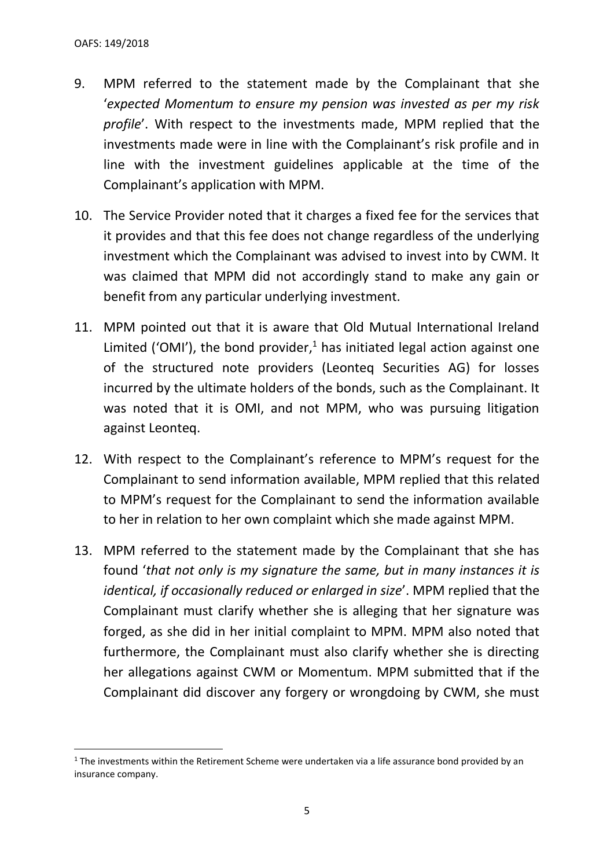- 9. MPM referred to the statement made by the Complainant that she '*expected Momentum to ensure my pension was invested as per my risk profile*'. With respect to the investments made, MPM replied that the investments made were in line with the Complainant's risk profile and in line with the investment guidelines applicable at the time of the Complainant's application with MPM.
- 10. The Service Provider noted that it charges a fixed fee for the services that it provides and that this fee does not change regardless of the underlying investment which the Complainant was advised to invest into by CWM. It was claimed that MPM did not accordingly stand to make any gain or benefit from any particular underlying investment.
- 11. MPM pointed out that it is aware that Old Mutual International Ireland Limited ('OMI'), the bond provider, $1$  has initiated legal action against one of the structured note providers (Leonteq Securities AG) for losses incurred by the ultimate holders of the bonds, such as the Complainant. It was noted that it is OMI, and not MPM, who was pursuing litigation against Leonteq.
- 12. With respect to the Complainant's reference to MPM's request for the Complainant to send information available, MPM replied that this related to MPM's request for the Complainant to send the information available to her in relation to her own complaint which she made against MPM.
- 13. MPM referred to the statement made by the Complainant that she has found '*that not only is my signature the same, but in many instances it is identical, if occasionally reduced or enlarged in size*'. MPM replied that the Complainant must clarify whether she is alleging that her signature was forged, as she did in her initial complaint to MPM. MPM also noted that furthermore, the Complainant must also clarify whether she is directing her allegations against CWM or Momentum. MPM submitted that if the Complainant did discover any forgery or wrongdoing by CWM, she must

 $1$  The investments within the Retirement Scheme were undertaken via a life assurance bond provided by an insurance company.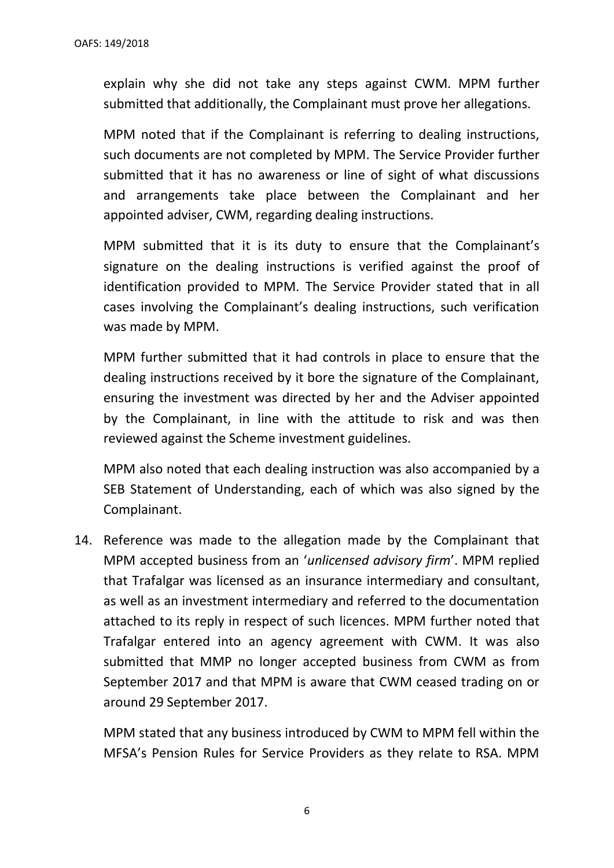explain why she did not take any steps against CWM. MPM further submitted that additionally, the Complainant must prove her allegations.

MPM noted that if the Complainant is referring to dealing instructions, such documents are not completed by MPM. The Service Provider further submitted that it has no awareness or line of sight of what discussions and arrangements take place between the Complainant and her appointed adviser, CWM, regarding dealing instructions.

MPM submitted that it is its duty to ensure that the Complainant's signature on the dealing instructions is verified against the proof of identification provided to MPM. The Service Provider stated that in all cases involving the Complainant's dealing instructions, such verification was made by MPM.

MPM further submitted that it had controls in place to ensure that the dealing instructions received by it bore the signature of the Complainant, ensuring the investment was directed by her and the Adviser appointed by the Complainant, in line with the attitude to risk and was then reviewed against the Scheme investment guidelines.

MPM also noted that each dealing instruction was also accompanied by a SEB Statement of Understanding, each of which was also signed by the Complainant.

14. Reference was made to the allegation made by the Complainant that MPM accepted business from an '*unlicensed advisory firm*'. MPM replied that Trafalgar was licensed as an insurance intermediary and consultant, as well as an investment intermediary and referred to the documentation attached to its reply in respect of such licences. MPM further noted that Trafalgar entered into an agency agreement with CWM. It was also submitted that MMP no longer accepted business from CWM as from September 2017 and that MPM is aware that CWM ceased trading on or around 29 September 2017.

MPM stated that any business introduced by CWM to MPM fell within the MFSA's Pension Rules for Service Providers as they relate to RSA. MPM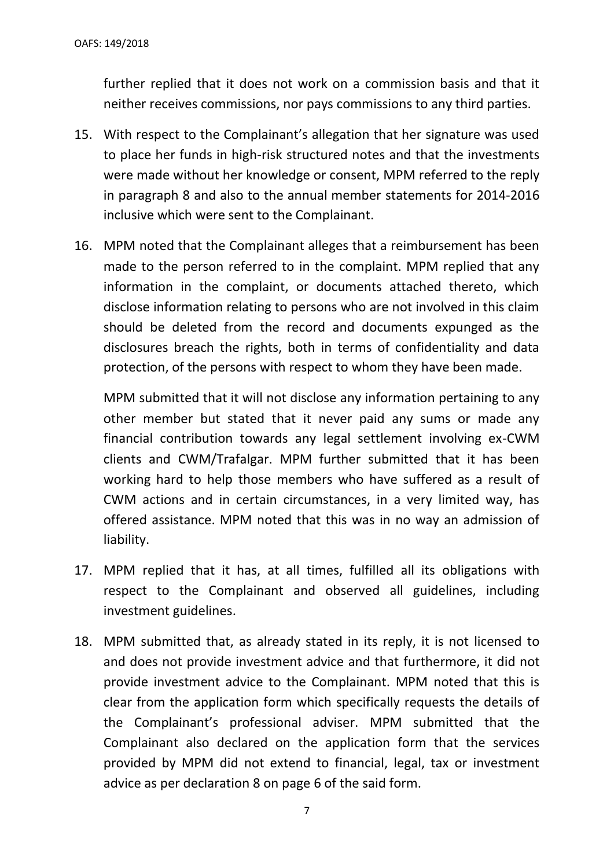further replied that it does not work on a commission basis and that it neither receives commissions, nor pays commissions to any third parties.

- 15. With respect to the Complainant's allegation that her signature was used to place her funds in high-risk structured notes and that the investments were made without her knowledge or consent, MPM referred to the reply in paragraph 8 and also to the annual member statements for 2014-2016 inclusive which were sent to the Complainant.
- 16. MPM noted that the Complainant alleges that a reimbursement has been made to the person referred to in the complaint. MPM replied that any information in the complaint, or documents attached thereto, which disclose information relating to persons who are not involved in this claim should be deleted from the record and documents expunged as the disclosures breach the rights, both in terms of confidentiality and data protection, of the persons with respect to whom they have been made.

MPM submitted that it will not disclose any information pertaining to any other member but stated that it never paid any sums or made any financial contribution towards any legal settlement involving ex-CWM clients and CWM/Trafalgar. MPM further submitted that it has been working hard to help those members who have suffered as a result of CWM actions and in certain circumstances, in a very limited way, has offered assistance. MPM noted that this was in no way an admission of liability.

- 17. MPM replied that it has, at all times, fulfilled all its obligations with respect to the Complainant and observed all guidelines, including investment guidelines.
- 18. MPM submitted that, as already stated in its reply, it is not licensed to and does not provide investment advice and that furthermore, it did not provide investment advice to the Complainant. MPM noted that this is clear from the application form which specifically requests the details of the Complainant's professional adviser. MPM submitted that the Complainant also declared on the application form that the services provided by MPM did not extend to financial, legal, tax or investment advice as per declaration 8 on page 6 of the said form.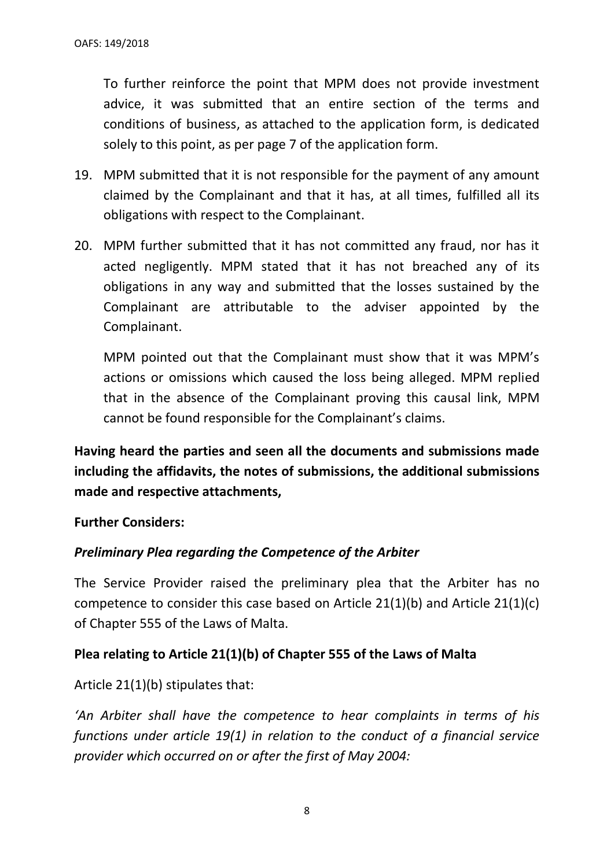To further reinforce the point that MPM does not provide investment advice, it was submitted that an entire section of the terms and conditions of business, as attached to the application form, is dedicated solely to this point, as per page 7 of the application form.

- 19. MPM submitted that it is not responsible for the payment of any amount claimed by the Complainant and that it has, at all times, fulfilled all its obligations with respect to the Complainant.
- 20. MPM further submitted that it has not committed any fraud, nor has it acted negligently. MPM stated that it has not breached any of its obligations in any way and submitted that the losses sustained by the Complainant are attributable to the adviser appointed by the Complainant.

MPM pointed out that the Complainant must show that it was MPM's actions or omissions which caused the loss being alleged. MPM replied that in the absence of the Complainant proving this causal link, MPM cannot be found responsible for the Complainant's claims.

**Having heard the parties and seen all the documents and submissions made including the affidavits, the notes of submissions, the additional submissions made and respective attachments,**

**Further Considers:**

#### *Preliminary Plea regarding the Competence of the Arbiter*

The Service Provider raised the preliminary plea that the Arbiter has no competence to consider this case based on Article 21(1)(b) and Article 21(1)(c) of Chapter 555 of the Laws of Malta.

#### **Plea relating to Article 21(1)(b) of Chapter 555 of the Laws of Malta**

Article 21(1)(b) stipulates that:

*'An Arbiter shall have the competence to hear complaints in terms of his functions under article 19(1) in relation to the conduct of a financial service provider which occurred on or after the first of May 2004:*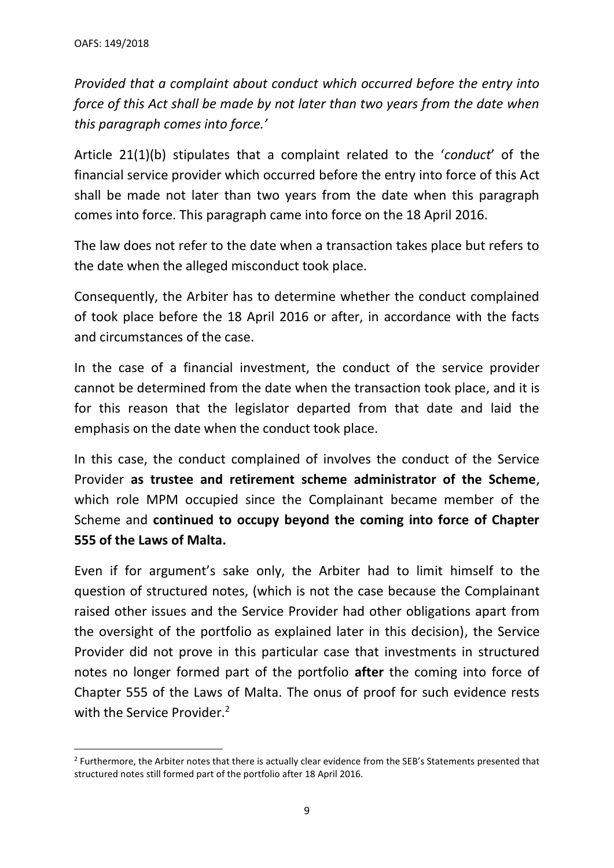*Provided that a complaint about conduct which occurred before the entry into force of this Act shall be made by not later than two years from the date when this paragraph comes into force.'*

Article 21(1)(b) stipulates that a complaint related to the '*conduct*' of the financial service provider which occurred before the entry into force of this Act shall be made not later than two years from the date when this paragraph comes into force. This paragraph came into force on the 18 April 2016.

The law does not refer to the date when a transaction takes place but refers to the date when the alleged misconduct took place.

Consequently, the Arbiter has to determine whether the conduct complained of took place before the 18 April 2016 or after, in accordance with the facts and circumstances of the case.

In the case of a financial investment, the conduct of the service provider cannot be determined from the date when the transaction took place, and it is for this reason that the legislator departed from that date and laid the emphasis on the date when the conduct took place.

In this case, the conduct complained of involves the conduct of the Service Provider **as trustee and retirement scheme administrator of the Scheme**, which role MPM occupied since the Complainant became member of the Scheme and **continued to occupy beyond the coming into force of Chapter 555 of the Laws of Malta.**

Even if for argument's sake only, the Arbiter had to limit himself to the question of structured notes, (which is not the case because the Complainant raised other issues and the Service Provider had other obligations apart from the oversight of the portfolio as explained later in this decision), the Service Provider did not prove in this particular case that investments in structured notes no longer formed part of the portfolio **after** the coming into force of Chapter 555 of the Laws of Malta. The onus of proof for such evidence rests with the Service Provider.<sup>2</sup>

<sup>&</sup>lt;sup>2</sup> Furthermore, the Arbiter notes that there is actually clear evidence from the SEB's Statements presented that structured notes still formed part of the portfolio after 18 April 2016.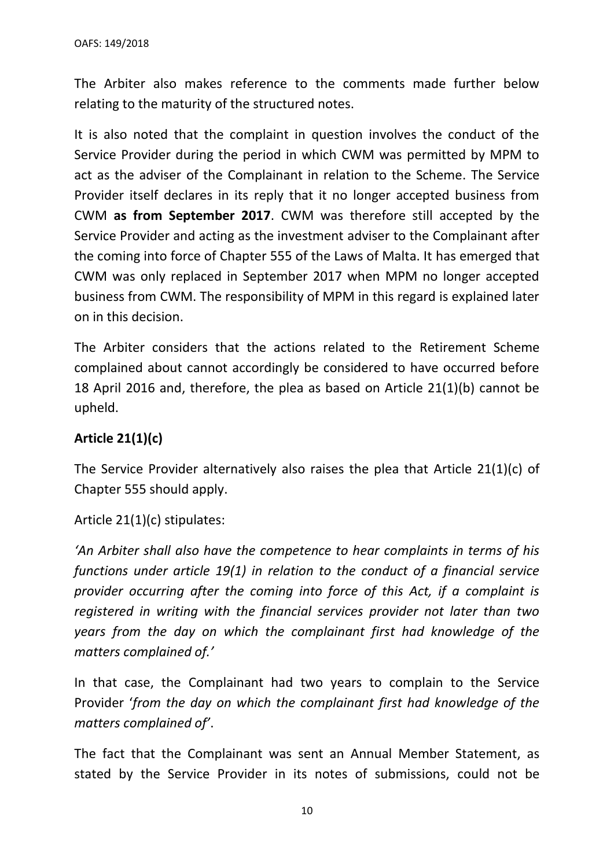The Arbiter also makes reference to the comments made further below relating to the maturity of the structured notes.

It is also noted that the complaint in question involves the conduct of the Service Provider during the period in which CWM was permitted by MPM to act as the adviser of the Complainant in relation to the Scheme. The Service Provider itself declares in its reply that it no longer accepted business from CWM **as from September 2017**. CWM was therefore still accepted by the Service Provider and acting as the investment adviser to the Complainant after the coming into force of Chapter 555 of the Laws of Malta. It has emerged that CWM was only replaced in September 2017 when MPM no longer accepted business from CWM. The responsibility of MPM in this regard is explained later on in this decision.

The Arbiter considers that the actions related to the Retirement Scheme complained about cannot accordingly be considered to have occurred before 18 April 2016 and, therefore, the plea as based on Article 21(1)(b) cannot be upheld.

## **Article 21(1)(c)**

The Service Provider alternatively also raises the plea that Article 21(1)(c) of Chapter 555 should apply.

Article 21(1)(c) stipulates:

*'An Arbiter shall also have the competence to hear complaints in terms of his functions under article 19(1) in relation to the conduct of a financial service provider occurring after the coming into force of this Act, if a complaint is registered in writing with the financial services provider not later than two years from the day on which the complainant first had knowledge of the matters complained of.'*

In that case, the Complainant had two years to complain to the Service Provider '*from the day on which the complainant first had knowledge of the matters complained of'*.

The fact that the Complainant was sent an Annual Member Statement, as stated by the Service Provider in its notes of submissions, could not be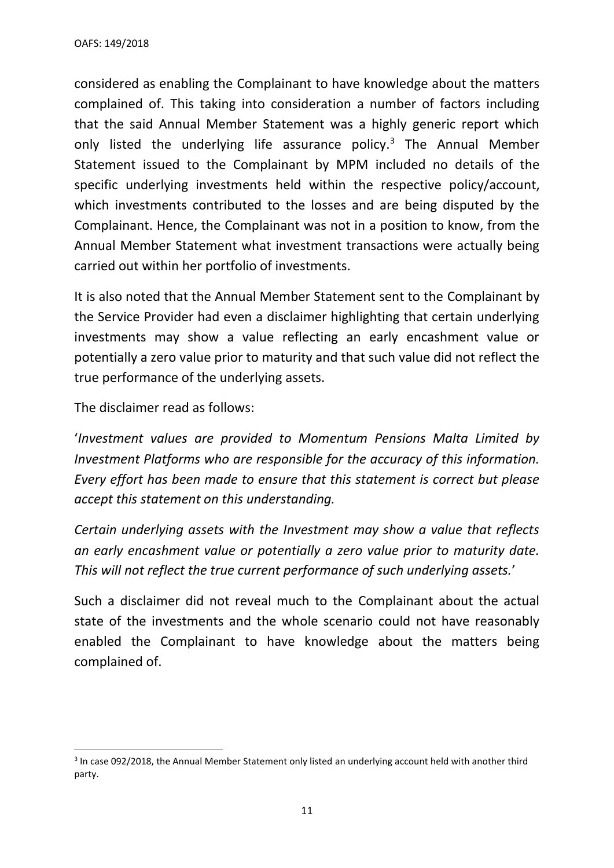considered as enabling the Complainant to have knowledge about the matters complained of. This taking into consideration a number of factors including that the said Annual Member Statement was a highly generic report which only listed the underlying life assurance policy.<sup>3</sup> The Annual Member Statement issued to the Complainant by MPM included no details of the specific underlying investments held within the respective policy/account, which investments contributed to the losses and are being disputed by the Complainant. Hence, the Complainant was not in a position to know, from the Annual Member Statement what investment transactions were actually being carried out within her portfolio of investments.

It is also noted that the Annual Member Statement sent to the Complainant by the Service Provider had even a disclaimer highlighting that certain underlying investments may show a value reflecting an early encashment value or potentially a zero value prior to maturity and that such value did not reflect the true performance of the underlying assets.

The disclaimer read as follows:

'*Investment values are provided to Momentum Pensions Malta Limited by Investment Platforms who are responsible for the accuracy of this information. Every effort has been made to ensure that this statement is correct but please accept this statement on this understanding.* 

*Certain underlying assets with the Investment may show a value that reflects an early encashment value or potentially a zero value prior to maturity date. This will not reflect the true current performance of such underlying assets.*'

Such a disclaimer did not reveal much to the Complainant about the actual state of the investments and the whole scenario could not have reasonably enabled the Complainant to have knowledge about the matters being complained of.

<sup>&</sup>lt;sup>3</sup> In case 092/2018, the Annual Member Statement only listed an underlying account held with another third party.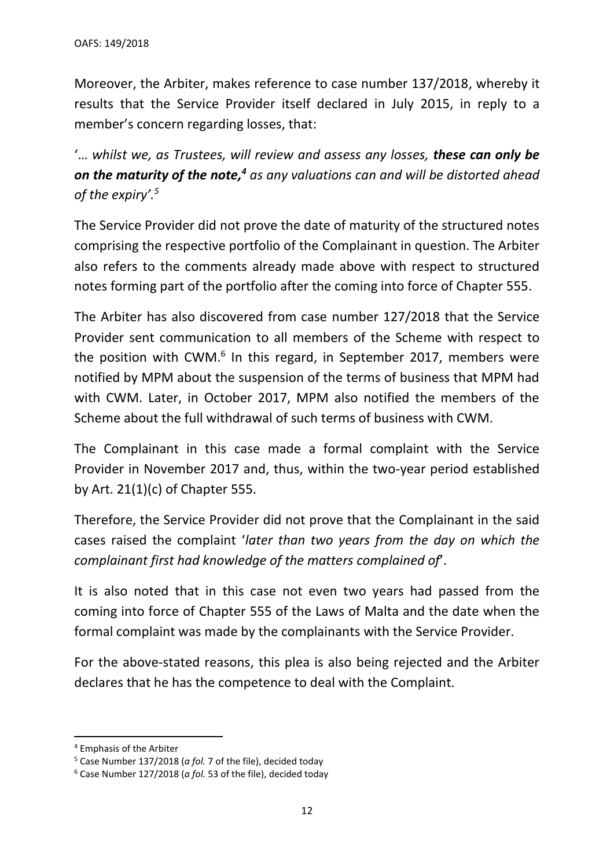Moreover, the Arbiter, makes reference to case number 137/2018, whereby it results that the Service Provider itself declared in July 2015, in reply to a member's concern regarding losses, that:

'… *whilst we, as Trustees, will review and assess any losses, these can only be on the maturity of the note, <sup>4</sup> as any valuations can and will be distorted ahead of the expiry'. 5*

The Service Provider did not prove the date of maturity of the structured notes comprising the respective portfolio of the Complainant in question. The Arbiter also refers to the comments already made above with respect to structured notes forming part of the portfolio after the coming into force of Chapter 555.

The Arbiter has also discovered from case number 127/2018 that the Service Provider sent communication to all members of the Scheme with respect to the position with CWM.<sup>6</sup> In this regard, in September 2017, members were notified by MPM about the suspension of the terms of business that MPM had with CWM. Later, in October 2017, MPM also notified the members of the Scheme about the full withdrawal of such terms of business with CWM.

The Complainant in this case made a formal complaint with the Service Provider in November 2017 and, thus, within the two-year period established by Art. 21(1)(c) of Chapter 555.

Therefore, the Service Provider did not prove that the Complainant in the said cases raised the complaint '*later than two years from the day on which the complainant first had knowledge of the matters complained of*'.

It is also noted that in this case not even two years had passed from the coming into force of Chapter 555 of the Laws of Malta and the date when the formal complaint was made by the complainants with the Service Provider.

For the above-stated reasons, this plea is also being rejected and the Arbiter declares that he has the competence to deal with the Complaint.

<sup>4</sup> Emphasis of the Arbiter

<sup>5</sup> Case Number 137/2018 (*a fol.* 7 of the file), decided today

<sup>6</sup> Case Number 127/2018 (*a fol.* 53 of the file), decided today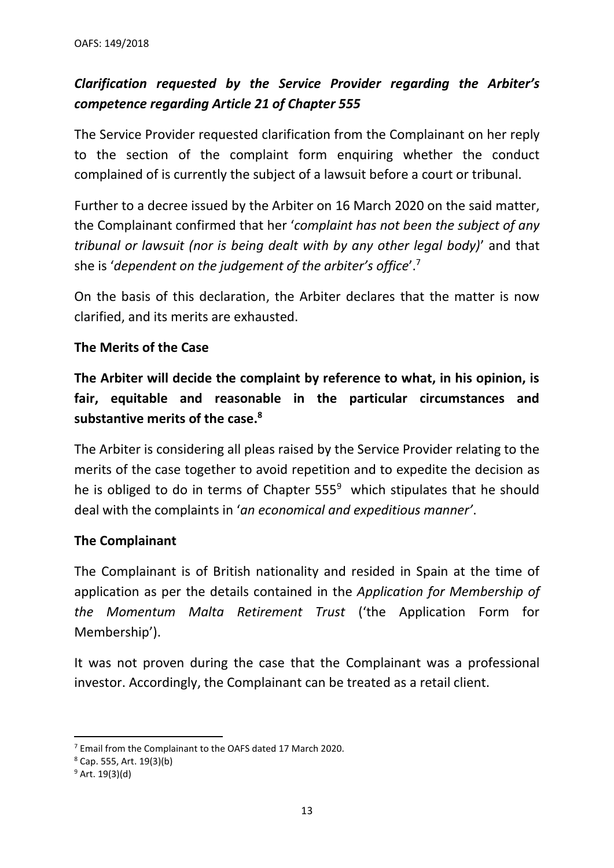# *Clarification requested by the Service Provider regarding the Arbiter's competence regarding Article 21 of Chapter 555*

The Service Provider requested clarification from the Complainant on her reply to the section of the complaint form enquiring whether the conduct complained of is currently the subject of a lawsuit before a court or tribunal.

Further to a decree issued by the Arbiter on 16 March 2020 on the said matter, the Complainant confirmed that her '*complaint has not been the subject of any tribunal or lawsuit (nor is being dealt with by any other legal body)*' and that she is '*dependent on the judgement of the arbiter's office*'. 7

On the basis of this declaration, the Arbiter declares that the matter is now clarified, and its merits are exhausted.

## **The Merits of the Case**

**The Arbiter will decide the complaint by reference to what, in his opinion, is fair, equitable and reasonable in the particular circumstances and substantive merits of the case.<sup>8</sup>**

The Arbiter is considering all pleas raised by the Service Provider relating to the merits of the case together to avoid repetition and to expedite the decision as he is obliged to do in terms of Chapter  $555<sup>9</sup>$  which stipulates that he should deal with the complaints in '*an economical and expeditious manner'*.

## **The Complainant**

The Complainant is of British nationality and resided in Spain at the time of application as per the details contained in the *Application for Membership of the Momentum Malta Retirement Trust* ('the Application Form for Membership').

It was not proven during the case that the Complainant was a professional investor. Accordingly, the Complainant can be treated as a retail client.

<sup>7</sup> Email from the Complainant to the OAFS dated 17 March 2020.

<sup>8</sup> Cap. 555, Art. 19(3)(b)

 $9$  Art. 19(3)(d)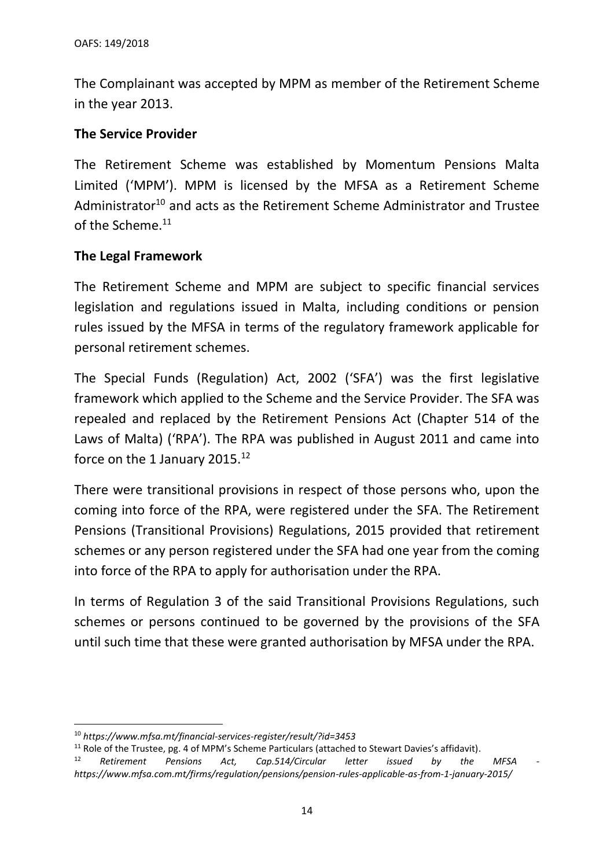The Complainant was accepted by MPM as member of the Retirement Scheme in the year 2013.

## **The Service Provider**

The Retirement Scheme was established by Momentum Pensions Malta Limited ('MPM'). MPM is licensed by the MFSA as a Retirement Scheme Administrator<sup>10</sup> and acts as the Retirement Scheme Administrator and Trustee of the Scheme. 11

## **The Legal Framework**

The Retirement Scheme and MPM are subject to specific financial services legislation and regulations issued in Malta, including conditions or pension rules issued by the MFSA in terms of the regulatory framework applicable for personal retirement schemes.

The Special Funds (Regulation) Act, 2002 ('SFA') was the first legislative framework which applied to the Scheme and the Service Provider. The SFA was repealed and replaced by the Retirement Pensions Act (Chapter 514 of the Laws of Malta) ('RPA'). The RPA was published in August 2011 and came into force on the 1 January 2015.<sup>12</sup>

There were transitional provisions in respect of those persons who, upon the coming into force of the RPA, were registered under the SFA. The Retirement Pensions (Transitional Provisions) Regulations, 2015 provided that retirement schemes or any person registered under the SFA had one year from the coming into force of the RPA to apply for authorisation under the RPA.

In terms of Regulation 3 of the said Transitional Provisions Regulations, such schemes or persons continued to be governed by the provisions of the SFA until such time that these were granted authorisation by MFSA under the RPA.

<sup>10</sup> *https://www.mfsa.mt/financial-services-register/result/?id=3453*

<sup>&</sup>lt;sup>11</sup> Role of the Trustee, pg. 4 of MPM's Scheme Particulars (attached to Stewart Davies's affidavit).<br><sup>12</sup> Retirement Pensions Act Can 514/Circular letter issued by the

<sup>12</sup> *Retirement Pensions Act, Cap.514/Circular letter issued by the MFSA https://www.mfsa.com.mt/firms/regulation/pensions/pension-rules-applicable-as-from-1-january-2015/*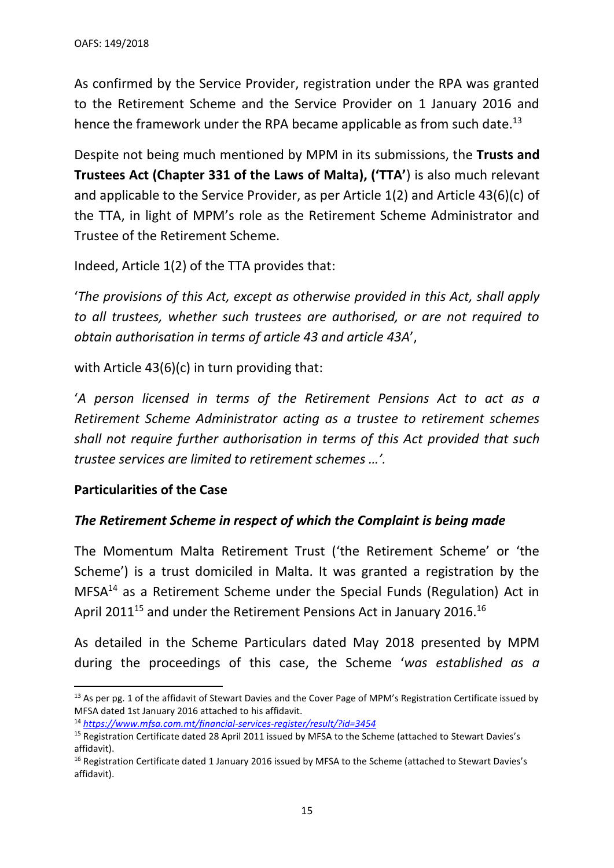As confirmed by the Service Provider, registration under the RPA was granted to the Retirement Scheme and the Service Provider on 1 January 2016 and hence the framework under the RPA became applicable as from such date.<sup>13</sup>

Despite not being much mentioned by MPM in its submissions, the **Trusts and Trustees Act (Chapter 331 of the Laws of Malta), ('TTA'**) is also much relevant and applicable to the Service Provider, as per Article 1(2) and Article 43(6)(c) of the TTA, in light of MPM's role as the Retirement Scheme Administrator and Trustee of the Retirement Scheme.

Indeed, Article 1(2) of the TTA provides that:

'*The provisions of this Act, except as otherwise provided in this Act, shall apply to all trustees, whether such trustees are authorised, or are not required to obtain authorisation in terms of article 43 and article 43A*',

with Article 43(6)(c) in turn providing that:

'*A person licensed in terms of the Retirement Pensions Act to act as a Retirement Scheme Administrator acting as a trustee to retirement schemes shall not require further authorisation in terms of this Act provided that such trustee services are limited to retirement schemes …'.*

#### **Particularities of the Case**

## *The Retirement Scheme in respect of which the Complaint is being made*

The Momentum Malta Retirement Trust ('the Retirement Scheme' or 'the Scheme') is a trust domiciled in Malta. It was granted a registration by the MFSA<sup>14</sup> as a Retirement Scheme under the Special Funds (Regulation) Act in April 2011<sup>15</sup> and under the Retirement Pensions Act in January 2016.<sup>16</sup>

As detailed in the Scheme Particulars dated May 2018 presented by MPM during the proceedings of this case, the Scheme '*was established as a* 

<sup>&</sup>lt;sup>13</sup> As per pg. 1 of the affidavit of Stewart Davies and the Cover Page of MPM's Registration Certificate issued by MFSA dated 1st January 2016 attached to his affidavit.

<sup>14</sup> *<https://www.mfsa.com.mt/financial-services-register/result/?id=3454>*

<sup>&</sup>lt;sup>15</sup> Registration Certificate dated 28 April 2011 issued by MFSA to the Scheme (attached to Stewart Davies's affidavit).

<sup>&</sup>lt;sup>16</sup> Registration Certificate dated 1 January 2016 issued by MFSA to the Scheme (attached to Stewart Davies's affidavit).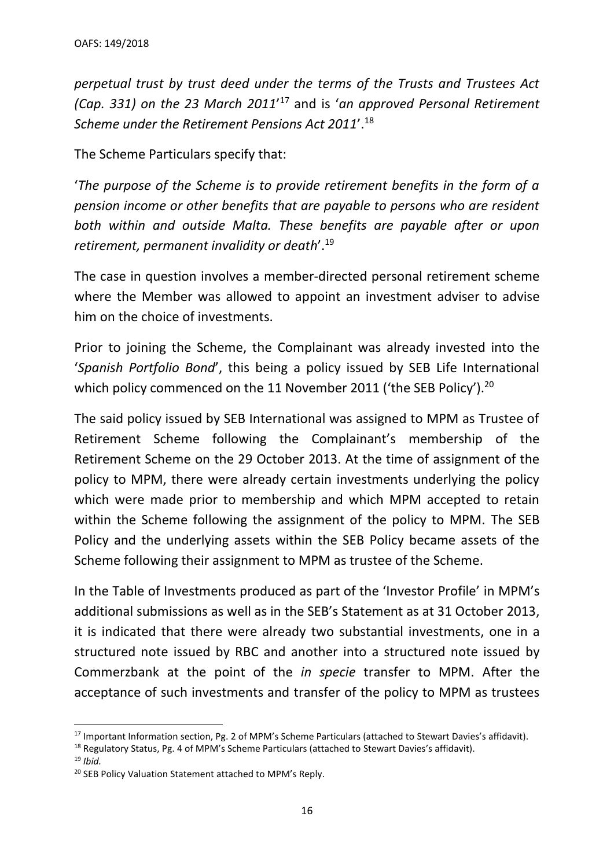*perpetual trust by trust deed under the terms of the Trusts and Trustees Act (Cap. 331) on the 23 March 2011*' <sup>17</sup> and is '*an approved Personal Retirement Scheme under the Retirement Pensions Act 2011*'. 18

The Scheme Particulars specify that:

'*The purpose of the Scheme is to provide retirement benefits in the form of a pension income or other benefits that are payable to persons who are resident both within and outside Malta. These benefits are payable after or upon retirement, permanent invalidity or death*'.<sup>19</sup>

The case in question involves a member-directed personal retirement scheme where the Member was allowed to appoint an investment adviser to advise him on the choice of investments.

Prior to joining the Scheme, the Complainant was already invested into the '*Spanish Portfolio Bond*', this being a policy issued by SEB Life International which policy commenced on the 11 November 2011 ('the SEB Policy').<sup>20</sup>

The said policy issued by SEB International was assigned to MPM as Trustee of Retirement Scheme following the Complainant's membership of the Retirement Scheme on the 29 October 2013. At the time of assignment of the policy to MPM, there were already certain investments underlying the policy which were made prior to membership and which MPM accepted to retain within the Scheme following the assignment of the policy to MPM. The SEB Policy and the underlying assets within the SEB Policy became assets of the Scheme following their assignment to MPM as trustee of the Scheme.

In the Table of Investments produced as part of the 'Investor Profile' in MPM's additional submissions as well as in the SEB's Statement as at 31 October 2013, it is indicated that there were already two substantial investments, one in a structured note issued by RBC and another into a structured note issued by Commerzbank at the point of the *in specie* transfer to MPM. After the acceptance of such investments and transfer of the policy to MPM as trustees

<sup>&</sup>lt;sup>17</sup> Important Information section, Pg. 2 of MPM's Scheme Particulars (attached to Stewart Davies's affidavit).

<sup>&</sup>lt;sup>18</sup> Regulatory Status, Pg. 4 of MPM's Scheme Particulars (attached to Stewart Davies's affidavit).

<sup>19</sup> *Ibid.*

<sup>&</sup>lt;sup>20</sup> SEB Policy Valuation Statement attached to MPM's Reply.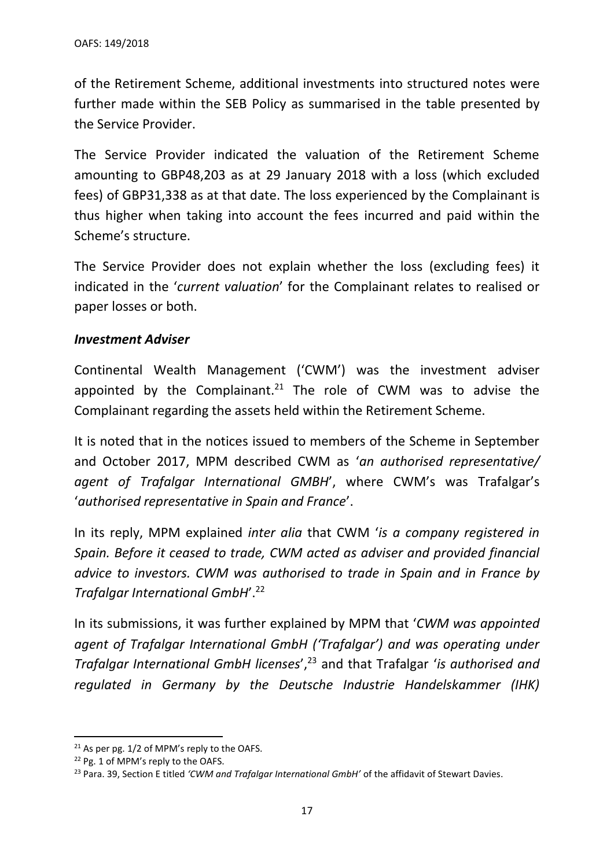of the Retirement Scheme, additional investments into structured notes were further made within the SEB Policy as summarised in the table presented by the Service Provider.

The Service Provider indicated the valuation of the Retirement Scheme amounting to GBP48,203 as at 29 January 2018 with a loss (which excluded fees) of GBP31,338 as at that date. The loss experienced by the Complainant is thus higher when taking into account the fees incurred and paid within the Scheme's structure.

The Service Provider does not explain whether the loss (excluding fees) it indicated in the '*current valuation*' for the Complainant relates to realised or paper losses or both.

#### *Investment Adviser*

Continental Wealth Management ('CWM') was the investment adviser appointed by the Complainant.<sup>21</sup> The role of CWM was to advise the Complainant regarding the assets held within the Retirement Scheme.

It is noted that in the notices issued to members of the Scheme in September and October 2017, MPM described CWM as '*an authorised representative/ agent of Trafalgar International GMBH*', where CWM's was Trafalgar's '*authorised representative in Spain and France*'.

In its reply, MPM explained *inter alia* that CWM '*is a company registered in Spain. Before it ceased to trade, CWM acted as adviser and provided financial advice to investors. CWM was authorised to trade in Spain and in France by Trafalgar International GmbH*'.<sup>22</sup>

In its submissions, it was further explained by MPM that '*CWM was appointed agent of Trafalgar International GmbH ('Trafalgar') and was operating under Trafalgar International GmbH licenses*', <sup>23</sup> and that Trafalgar '*is authorised and regulated in Germany by the Deutsche Industrie Handelskammer (IHK)* 

<sup>&</sup>lt;sup>21</sup> As per pg. 1/2 of MPM's reply to the OAFS.

<sup>22</sup> Pg. 1 of MPM's reply to the OAFS.

<sup>23</sup> Para. 39, Section E titled *'CWM and Trafalgar International GmbH'* of the affidavit of Stewart Davies.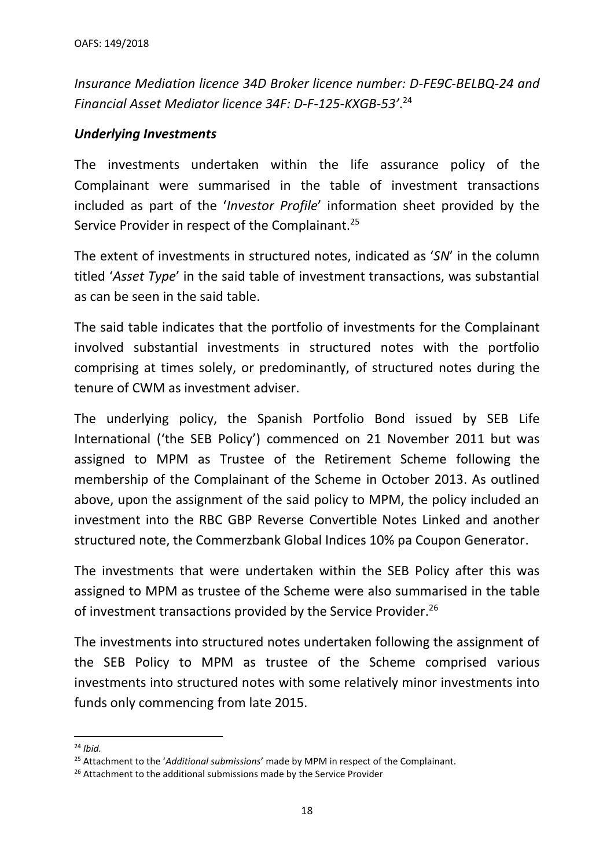*Insurance Mediation licence 34D Broker licence number: D-FE9C-BELBQ-24 and Financial Asset Mediator licence 34F: D-F-125-KXGB-53'*. 24

#### *Underlying Investments*

The investments undertaken within the life assurance policy of the Complainant were summarised in the table of investment transactions included as part of the '*Investor Profile*' information sheet provided by the Service Provider in respect of the Complainant.<sup>25</sup>

The extent of investments in structured notes, indicated as '*SN*' in the column titled '*Asset Type*' in the said table of investment transactions, was substantial as can be seen in the said table.

The said table indicates that the portfolio of investments for the Complainant involved substantial investments in structured notes with the portfolio comprising at times solely, or predominantly, of structured notes during the tenure of CWM as investment adviser.

The underlying policy, the Spanish Portfolio Bond issued by SEB Life International ('the SEB Policy') commenced on 21 November 2011 but was assigned to MPM as Trustee of the Retirement Scheme following the membership of the Complainant of the Scheme in October 2013. As outlined above, upon the assignment of the said policy to MPM, the policy included an investment into the RBC GBP Reverse Convertible Notes Linked and another structured note, the Commerzbank Global Indices 10% pa Coupon Generator.

The investments that were undertaken within the SEB Policy after this was assigned to MPM as trustee of the Scheme were also summarised in the table of investment transactions provided by the Service Provider.<sup>26</sup>

The investments into structured notes undertaken following the assignment of the SEB Policy to MPM as trustee of the Scheme comprised various investments into structured notes with some relatively minor investments into funds only commencing from late 2015.

<sup>24</sup> *Ibid.*

<sup>25</sup> Attachment to the '*Additional submissions*' made by MPM in respect of the Complainant.

<sup>&</sup>lt;sup>26</sup> Attachment to the additional submissions made by the Service Provider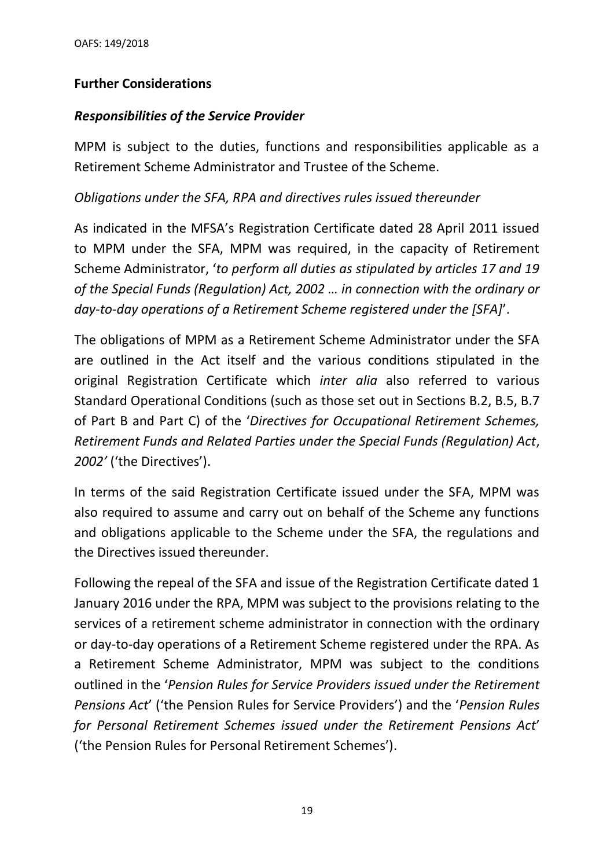## **Further Considerations**

## *Responsibilities of the Service Provider*

MPM is subject to the duties, functions and responsibilities applicable as a Retirement Scheme Administrator and Trustee of the Scheme.

## *Obligations under the SFA, RPA and directives rules issued thereunder*

As indicated in the MFSA's Registration Certificate dated 28 April 2011 issued to MPM under the SFA, MPM was required, in the capacity of Retirement Scheme Administrator, '*to perform all duties as stipulated by articles 17 and 19 of the Special Funds (Regulation) Act, 2002 … in connection with the ordinary or day-to-day operations of a Retirement Scheme registered under the [SFA]*'.

The obligations of MPM as a Retirement Scheme Administrator under the SFA are outlined in the Act itself and the various conditions stipulated in the original Registration Certificate which *inter alia* also referred to various Standard Operational Conditions (such as those set out in Sections B.2, B.5, B.7 of Part B and Part C) of the '*Directives for Occupational Retirement Schemes, Retirement Funds and Related Parties under the Special Funds (Regulation) Act*, *2002'* ('the Directives').

In terms of the said Registration Certificate issued under the SFA, MPM was also required to assume and carry out on behalf of the Scheme any functions and obligations applicable to the Scheme under the SFA, the regulations and the Directives issued thereunder.

Following the repeal of the SFA and issue of the Registration Certificate dated 1 January 2016 under the RPA, MPM was subject to the provisions relating to the services of a retirement scheme administrator in connection with the ordinary or day-to-day operations of a Retirement Scheme registered under the RPA. As a Retirement Scheme Administrator, MPM was subject to the conditions outlined in the '*Pension Rules for Service Providers issued under the Retirement Pensions Act*' ('the Pension Rules for Service Providers') and the '*Pension Rules for Personal Retirement Schemes issued under the Retirement Pensions Act*' ('the Pension Rules for Personal Retirement Schemes').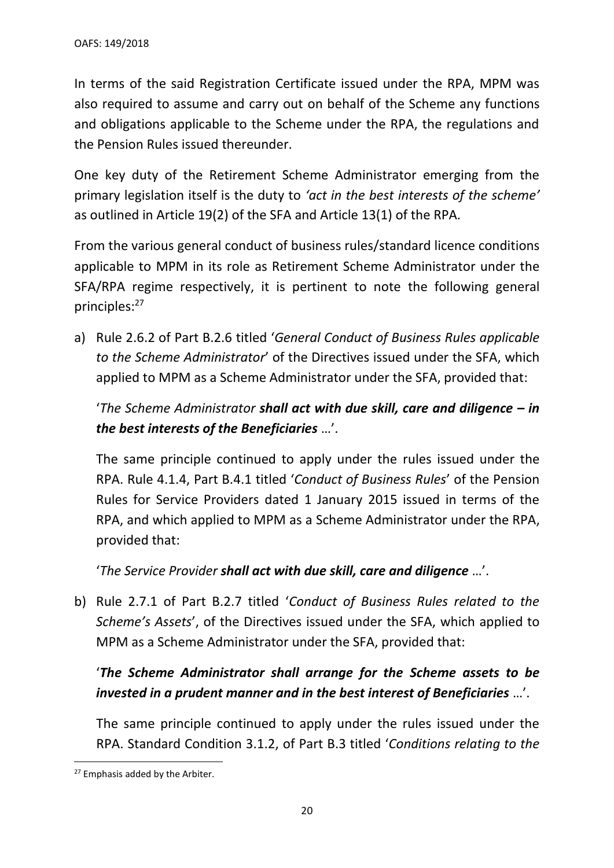In terms of the said Registration Certificate issued under the RPA, MPM was also required to assume and carry out on behalf of the Scheme any functions and obligations applicable to the Scheme under the RPA, the regulations and the Pension Rules issued thereunder.

One key duty of the Retirement Scheme Administrator emerging from the primary legislation itself is the duty to *'act in the best interests of the scheme'* as outlined in Article 19(2) of the SFA and Article 13(1) of the RPA*.* 

From the various general conduct of business rules/standard licence conditions applicable to MPM in its role as Retirement Scheme Administrator under the SFA/RPA regime respectively, it is pertinent to note the following general principles: 27

a) Rule 2.6.2 of Part B.2.6 titled '*General Conduct of Business Rules applicable to the Scheme Administrator*' of the Directives issued under the SFA, which applied to MPM as a Scheme Administrator under the SFA, provided that:

'*The Scheme Administrator shall act with due skill, care and diligence – in the best interests of the Beneficiaries* …'.

The same principle continued to apply under the rules issued under the RPA. Rule 4.1.4, Part B.4.1 titled '*Conduct of Business Rules*' of the Pension Rules for Service Providers dated 1 January 2015 issued in terms of the RPA, and which applied to MPM as a Scheme Administrator under the RPA, provided that:

'*The Service Provider shall act with due skill, care and diligence* …'.

b) Rule 2.7.1 of Part B.2.7 titled '*Conduct of Business Rules related to the Scheme's Assets*', of the Directives issued under the SFA, which applied to MPM as a Scheme Administrator under the SFA, provided that:

# '*The Scheme Administrator shall arrange for the Scheme assets to be invested in a prudent manner and in the best interest of Beneficiaries* …'.

The same principle continued to apply under the rules issued under the RPA. Standard Condition 3.1.2, of Part B.3 titled '*Conditions relating to the* 

<sup>&</sup>lt;sup>27</sup> Emphasis added by the Arbiter.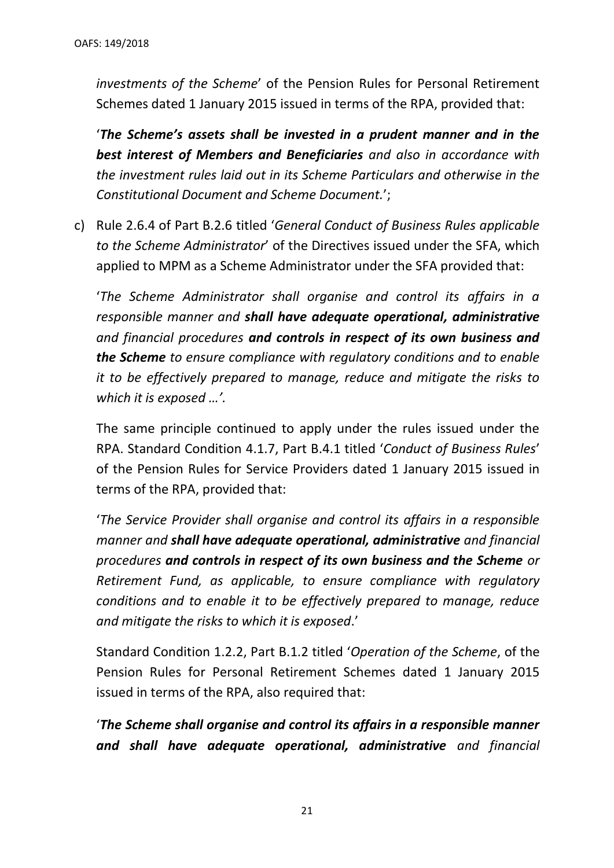*investments of the Scheme*' of the Pension Rules for Personal Retirement Schemes dated 1 January 2015 issued in terms of the RPA, provided that:

'*The Scheme's assets shall be invested in a prudent manner and in the best interest of Members and Beneficiaries and also in accordance with the investment rules laid out in its Scheme Particulars and otherwise in the Constitutional Document and Scheme Document.*';

c) Rule 2.6.4 of Part B.2.6 titled '*General Conduct of Business Rules applicable to the Scheme Administrator*' of the Directives issued under the SFA, which applied to MPM as a Scheme Administrator under the SFA provided that:

'*The Scheme Administrator shall organise and control its affairs in a responsible manner and shall have adequate operational, administrative and financial procedures and controls in respect of its own business and the Scheme to ensure compliance with regulatory conditions and to enable it to be effectively prepared to manage, reduce and mitigate the risks to which it is exposed …'.*

The same principle continued to apply under the rules issued under the RPA. Standard Condition 4.1.7, Part B.4.1 titled '*Conduct of Business Rules*' of the Pension Rules for Service Providers dated 1 January 2015 issued in terms of the RPA, provided that:

'*The Service Provider shall organise and control its affairs in a responsible manner and shall have adequate operational, administrative and financial procedures and controls in respect of its own business and the Scheme or Retirement Fund, as applicable, to ensure compliance with regulatory conditions and to enable it to be effectively prepared to manage, reduce and mitigate the risks to which it is exposed*.'

Standard Condition 1.2.2, Part B.1.2 titled '*Operation of the Scheme*, of the Pension Rules for Personal Retirement Schemes dated 1 January 2015 issued in terms of the RPA, also required that:

'*The Scheme shall organise and control its affairs in a responsible manner and shall have adequate operational, administrative and financial*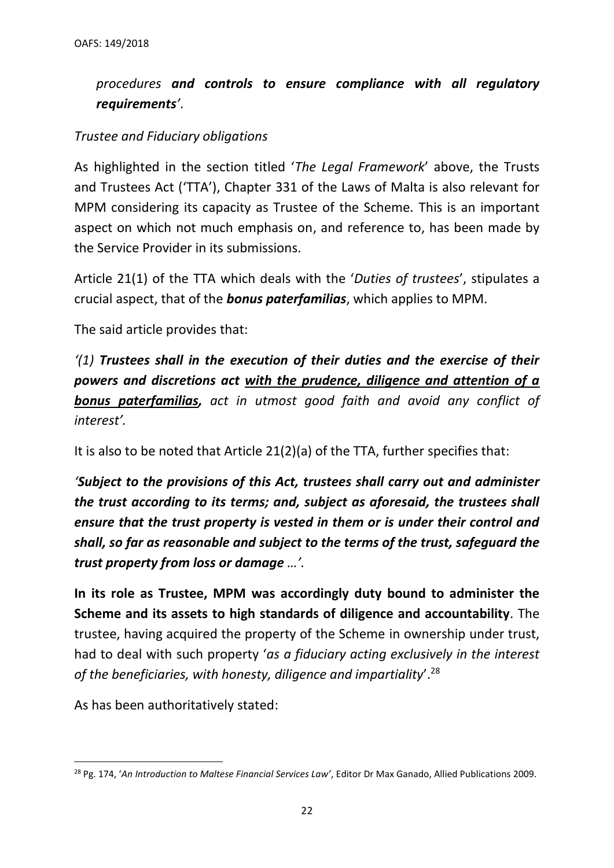# *procedures and controls to ensure compliance with all regulatory requirements'*.

#### *Trustee and Fiduciary obligations*

As highlighted in the section titled '*The Legal Framework*' above, the Trusts and Trustees Act ('TTA'), Chapter 331 of the Laws of Malta is also relevant for MPM considering its capacity as Trustee of the Scheme. This is an important aspect on which not much emphasis on, and reference to, has been made by the Service Provider in its submissions.

Article 21(1) of the TTA which deals with the '*Duties of trustees*', stipulates a crucial aspect, that of the *bonus paterfamilias*, which applies to MPM.

The said article provides that:

*'(1) Trustees shall in the execution of their duties and the exercise of their powers and discretions act with the prudence, diligence and attention of a bonus paterfamilias, act in utmost good faith and avoid any conflict of interest'.* 

It is also to be noted that Article 21(2)(a) of the TTA, further specifies that:

*'Subject to the provisions of this Act, trustees shall carry out and administer the trust according to its terms; and, subject as aforesaid, the trustees shall ensure that the trust property is vested in them or is under their control and shall, so far as reasonable and subject to the terms of the trust, safeguard the trust property from loss or damage …'.* 

**In its role as Trustee, MPM was accordingly duty bound to administer the Scheme and its assets to high standards of diligence and accountability**. The trustee, having acquired the property of the Scheme in ownership under trust, had to deal with such property '*as a fiduciary acting exclusively in the interest of the beneficiaries, with honesty, diligence and impartiality*'.<sup>28</sup>

As has been authoritatively stated:

<sup>28</sup> Pg. 174, '*An Introduction to Maltese Financial Services Law'*, Editor Dr Max Ganado, Allied Publications 2009.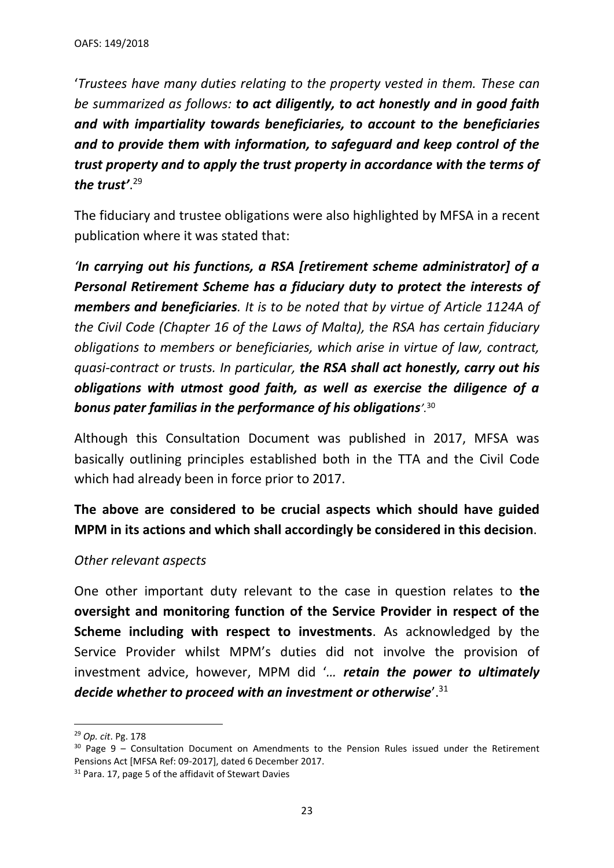'*Trustees have many duties relating to the property vested in them. These can be summarized as follows: to act diligently, to act honestly and in good faith and with impartiality towards beneficiaries, to account to the beneficiaries and to provide them with information, to safeguard and keep control of the trust property and to apply the trust property in accordance with the terms of the trust'*. 29

The fiduciary and trustee obligations were also highlighted by MFSA in a recent publication where it was stated that:

*'In carrying out his functions, a RSA [retirement scheme administrator] of a Personal Retirement Scheme has a fiduciary duty to protect the interests of members and beneficiaries. It is to be noted that by virtue of Article 1124A of the Civil Code (Chapter 16 of the Laws of Malta), the RSA has certain fiduciary obligations to members or beneficiaries, which arise in virtue of law, contract, quasi-contract or trusts. In particular, the RSA shall act honestly, carry out his obligations with utmost good faith, as well as exercise the diligence of a bonus pater familias in the performance of his obligations'.*<sup>30</sup>

Although this Consultation Document was published in 2017, MFSA was basically outlining principles established both in the TTA and the Civil Code which had already been in force prior to 2017.

**The above are considered to be crucial aspects which should have guided MPM in its actions and which shall accordingly be considered in this decision**.

## *Other relevant aspects*

One other important duty relevant to the case in question relates to **the oversight and monitoring function of the Service Provider in respect of the Scheme including with respect to investments**. As acknowledged by the Service Provider whilst MPM's duties did not involve the provision of investment advice, however, MPM did '*… retain the power to ultimately decide whether to proceed with an investment or otherwise*'.<sup>31</sup>

<sup>29</sup> *Op. cit*. Pg. 178

 $30$  Page 9 – Consultation Document on Amendments to the Pension Rules issued under the Retirement Pensions Act [MFSA Ref: 09-2017], dated 6 December 2017.

<sup>&</sup>lt;sup>31</sup> Para. 17, page 5 of the affidavit of Stewart Davies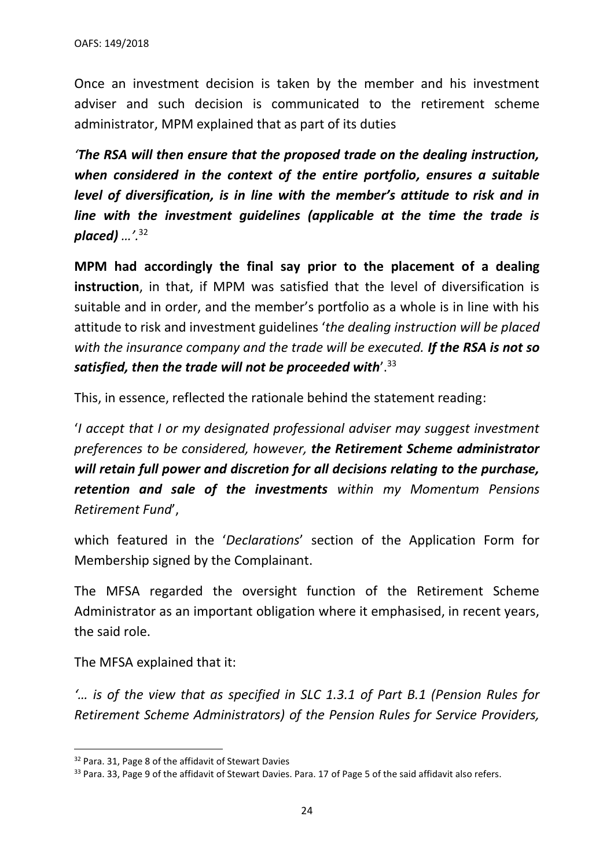Once an investment decision is taken by the member and his investment adviser and such decision is communicated to the retirement scheme administrator, MPM explained that as part of its duties

*'The RSA will then ensure that the proposed trade on the dealing instruction, when considered in the context of the entire portfolio, ensures a suitable level of diversification, is in line with the member's attitude to risk and in line with the investment guidelines (applicable at the time the trade is placed) …'.*<sup>32</sup>

**MPM had accordingly the final say prior to the placement of a dealing instruction**, in that, if MPM was satisfied that the level of diversification is suitable and in order, and the member's portfolio as a whole is in line with his attitude to risk and investment guidelines '*the dealing instruction will be placed with the insurance company and the trade will be executed. If the RSA is not so satisfied, then the trade will not be proceeded with*'.<sup>33</sup>

This, in essence, reflected the rationale behind the statement reading:

'*I accept that I or my designated professional adviser may suggest investment preferences to be considered, however, the Retirement Scheme administrator will retain full power and discretion for all decisions relating to the purchase, retention and sale of the investments within my Momentum Pensions Retirement Fund*',

which featured in the '*Declarations*' section of the Application Form for Membership signed by the Complainant.

The MFSA regarded the oversight function of the Retirement Scheme Administrator as an important obligation where it emphasised, in recent years, the said role.

The MFSA explained that it:

*'… is of the view that as specified in SLC 1.3.1 of Part B.1 (Pension Rules for Retirement Scheme Administrators) of the Pension Rules for Service Providers,* 

<sup>&</sup>lt;sup>32</sup> Para. 31, Page 8 of the affidavit of Stewart Davies

<sup>33</sup> Para. 33, Page 9 of the affidavit of Stewart Davies. Para. 17 of Page 5 of the said affidavit also refers.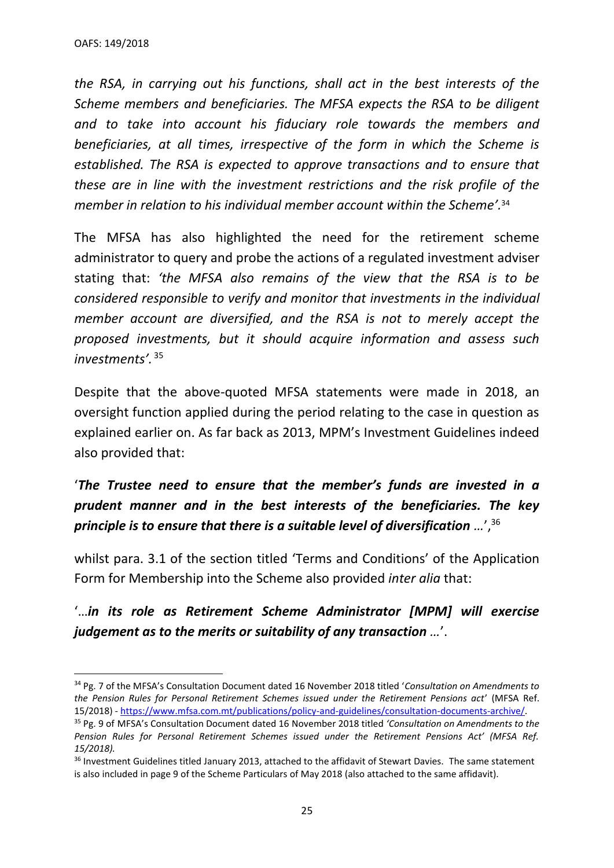*the RSA, in carrying out his functions, shall act in the best interests of the Scheme members and beneficiaries. The MFSA expects the RSA to be diligent and to take into account his fiduciary role towards the members and beneficiaries, at all times, irrespective of the form in which the Scheme is established. The RSA is expected to approve transactions and to ensure that these are in line with the investment restrictions and the risk profile of the member in relation to his individual member account within the Scheme'.*<sup>34</sup>

The MFSA has also highlighted the need for the retirement scheme administrator to query and probe the actions of a regulated investment adviser stating that: *'the MFSA also remains of the view that the RSA is to be considered responsible to verify and monitor that investments in the individual member account are diversified, and the RSA is not to merely accept the proposed investments, but it should acquire information and assess such investments'.* <sup>35</sup>

Despite that the above-quoted MFSA statements were made in 2018, an oversight function applied during the period relating to the case in question as explained earlier on. As far back as 2013, MPM's Investment Guidelines indeed also provided that:

# '*The Trustee need to ensure that the member's funds are invested in a prudent manner and in the best interests of the beneficiaries. The key principle is to ensure that there is a suitable level of diversification …*', 36

whilst para. 3.1 of the section titled 'Terms and Conditions' of the Application Form for Membership into the Scheme also provided *inter alia* that:

# '…*in its role as Retirement Scheme Administrator [MPM] will exercise judgement as to the merits or suitability of any transaction …*'.

<sup>34</sup> Pg. 7 of the MFSA's Consultation Document dated 16 November 2018 titled '*Consultation on Amendments to the Pension Rules for Personal Retirement Schemes issued under the Retirement Pensions act*' (MFSA Ref. 15/2018) - [https://www.mfsa.com.mt/publications/policy-and-guidelines/consultation-documents-archive/.](https://www.mfsa.com.mt/publications/policy-and-guidelines/consultation-documents-archive/)

<sup>35</sup> Pg. 9 of MFSA's Consultation Document dated 16 November 2018 titled *'Consultation on Amendments to the Pension Rules for Personal Retirement Schemes issued under the Retirement Pensions Act' (MFSA Ref. 15/2018).*

<sup>&</sup>lt;sup>36</sup> Investment Guidelines titled January 2013, attached to the affidavit of Stewart Davies. The same statement is also included in page 9 of the Scheme Particulars of May 2018 (also attached to the same affidavit).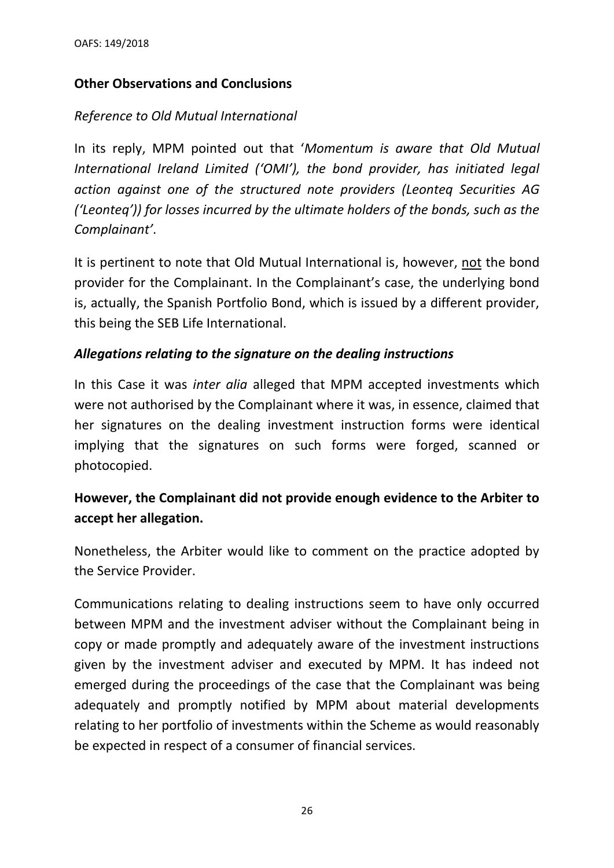## **Other Observations and Conclusions**

## *Reference to Old Mutual International*

In its reply, MPM pointed out that '*Momentum is aware that Old Mutual International Ireland Limited ('OMI'), the bond provider, has initiated legal action against one of the structured note providers (Leonteq Securities AG ('Leonteq')) for losses incurred by the ultimate holders of the bonds, such as the Complainant'*.

It is pertinent to note that Old Mutual International is, however, not the bond provider for the Complainant. In the Complainant's case, the underlying bond is, actually, the Spanish Portfolio Bond, which is issued by a different provider, this being the SEB Life International.

## *Allegations relating to the signature on the dealing instructions*

In this Case it was *inter alia* alleged that MPM accepted investments which were not authorised by the Complainant where it was, in essence, claimed that her signatures on the dealing investment instruction forms were identical implying that the signatures on such forms were forged, scanned or photocopied.

# **However, the Complainant did not provide enough evidence to the Arbiter to accept her allegation.**

Nonetheless, the Arbiter would like to comment on the practice adopted by the Service Provider.

Communications relating to dealing instructions seem to have only occurred between MPM and the investment adviser without the Complainant being in copy or made promptly and adequately aware of the investment instructions given by the investment adviser and executed by MPM. It has indeed not emerged during the proceedings of the case that the Complainant was being adequately and promptly notified by MPM about material developments relating to her portfolio of investments within the Scheme as would reasonably be expected in respect of a consumer of financial services.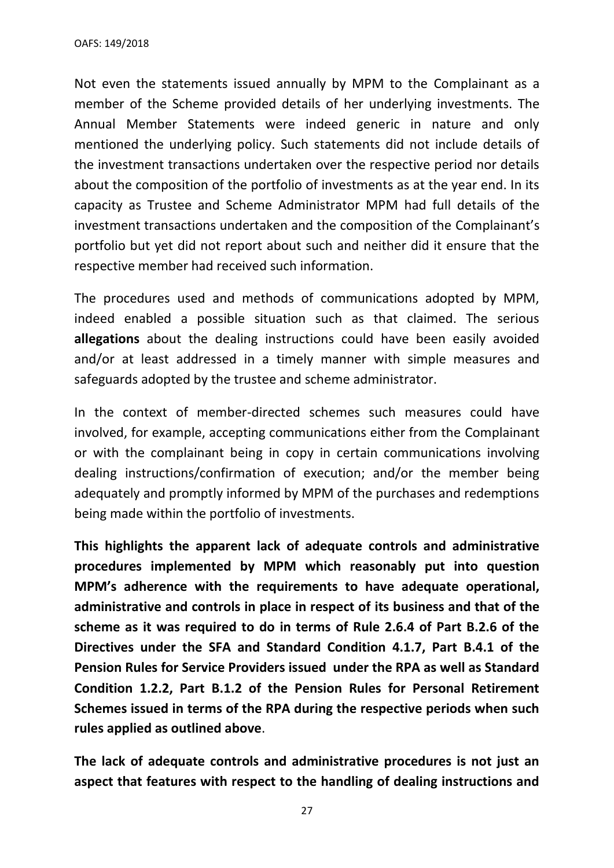OAFS: 149/2018

Not even the statements issued annually by MPM to the Complainant as a member of the Scheme provided details of her underlying investments. The Annual Member Statements were indeed generic in nature and only mentioned the underlying policy. Such statements did not include details of the investment transactions undertaken over the respective period nor details about the composition of the portfolio of investments as at the year end. In its capacity as Trustee and Scheme Administrator MPM had full details of the investment transactions undertaken and the composition of the Complainant's portfolio but yet did not report about such and neither did it ensure that the respective member had received such information.

The procedures used and methods of communications adopted by MPM, indeed enabled a possible situation such as that claimed. The serious **allegations** about the dealing instructions could have been easily avoided and/or at least addressed in a timely manner with simple measures and safeguards adopted by the trustee and scheme administrator.

In the context of member-directed schemes such measures could have involved, for example, accepting communications either from the Complainant or with the complainant being in copy in certain communications involving dealing instructions/confirmation of execution; and/or the member being adequately and promptly informed by MPM of the purchases and redemptions being made within the portfolio of investments.

**This highlights the apparent lack of adequate controls and administrative procedures implemented by MPM which reasonably put into question MPM's adherence with the requirements to have adequate operational, administrative and controls in place in respect of its business and that of the scheme as it was required to do in terms of Rule 2.6.4 of Part B.2.6 of the Directives under the SFA and Standard Condition 4.1.7, Part B.4.1 of the Pension Rules for Service Providers issued under the RPA as well as Standard Condition 1.2.2, Part B.1.2 of the Pension Rules for Personal Retirement Schemes issued in terms of the RPA during the respective periods when such rules applied as outlined above**.

**The lack of adequate controls and administrative procedures is not just an aspect that features with respect to the handling of dealing instructions and** 

27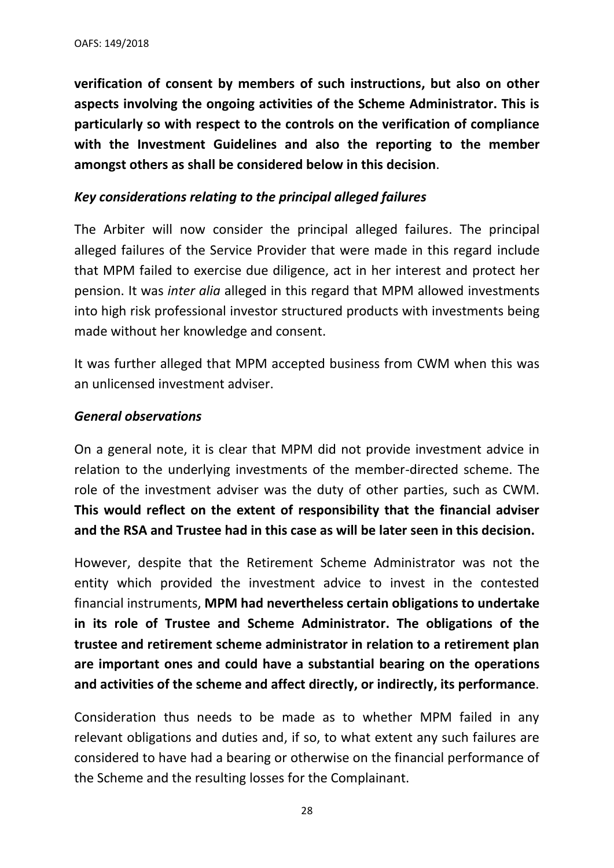**verification of consent by members of such instructions, but also on other aspects involving the ongoing activities of the Scheme Administrator. This is particularly so with respect to the controls on the verification of compliance with the Investment Guidelines and also the reporting to the member amongst others as shall be considered below in this decision**.

#### *Key considerations relating to the principal alleged failures*

The Arbiter will now consider the principal alleged failures. The principal alleged failures of the Service Provider that were made in this regard include that MPM failed to exercise due diligence, act in her interest and protect her pension. It was *inter alia* alleged in this regard that MPM allowed investments into high risk professional investor structured products with investments being made without her knowledge and consent.

It was further alleged that MPM accepted business from CWM when this was an unlicensed investment adviser.

#### *General observations*

On a general note, it is clear that MPM did not provide investment advice in relation to the underlying investments of the member-directed scheme. The role of the investment adviser was the duty of other parties, such as CWM. **This would reflect on the extent of responsibility that the financial adviser and the RSA and Trustee had in this case as will be later seen in this decision.** 

However, despite that the Retirement Scheme Administrator was not the entity which provided the investment advice to invest in the contested financial instruments, **MPM had nevertheless certain obligations to undertake in its role of Trustee and Scheme Administrator. The obligations of the trustee and retirement scheme administrator in relation to a retirement plan are important ones and could have a substantial bearing on the operations and activities of the scheme and affect directly, or indirectly, its performance**.

Consideration thus needs to be made as to whether MPM failed in any relevant obligations and duties and, if so, to what extent any such failures are considered to have had a bearing or otherwise on the financial performance of the Scheme and the resulting losses for the Complainant.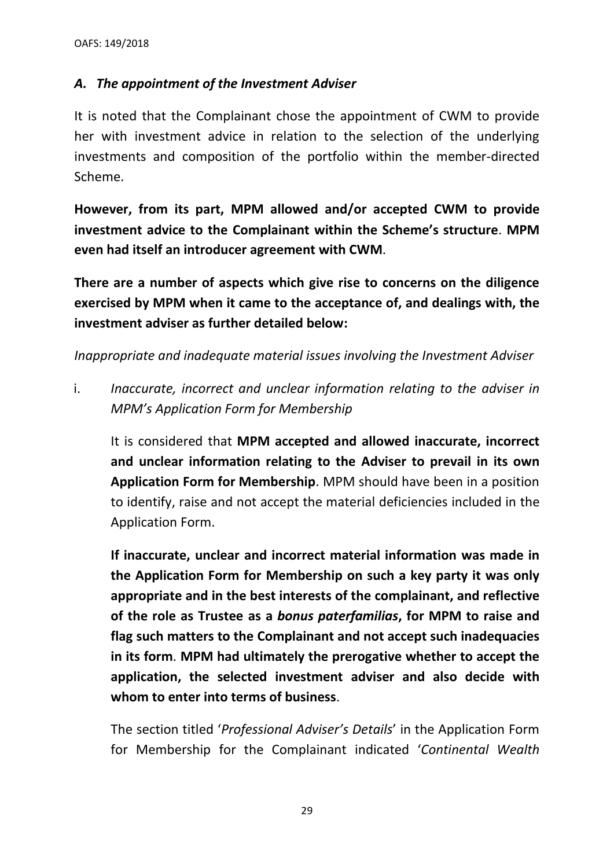## *A. The appointment of the Investment Adviser*

It is noted that the Complainant chose the appointment of CWM to provide her with investment advice in relation to the selection of the underlying investments and composition of the portfolio within the member-directed Scheme.

**However, from its part, MPM allowed and/or accepted CWM to provide investment advice to the Complainant within the Scheme's structure**. **MPM even had itself an introducer agreement with CWM**.

**There are a number of aspects which give rise to concerns on the diligence exercised by MPM when it came to the acceptance of, and dealings with, the investment adviser as further detailed below:**

*Inappropriate and inadequate material issues involving the Investment Adviser*

i. *Inaccurate, incorrect and unclear information relating to the adviser in MPM's Application Form for Membership*

It is considered that **MPM accepted and allowed inaccurate, incorrect and unclear information relating to the Adviser to prevail in its own Application Form for Membership**. MPM should have been in a position to identify, raise and not accept the material deficiencies included in the Application Form.

**If inaccurate, unclear and incorrect material information was made in the Application Form for Membership on such a key party it was only appropriate and in the best interests of the complainant, and reflective of the role as Trustee as a** *bonus paterfamilias***, for MPM to raise and flag such matters to the Complainant and not accept such inadequacies in its form**. **MPM had ultimately the prerogative whether to accept the application, the selected investment adviser and also decide with whom to enter into terms of business**.

The section titled '*Professional Adviser's Details*' in the Application Form for Membership for the Complainant indicated '*Continental Wealth*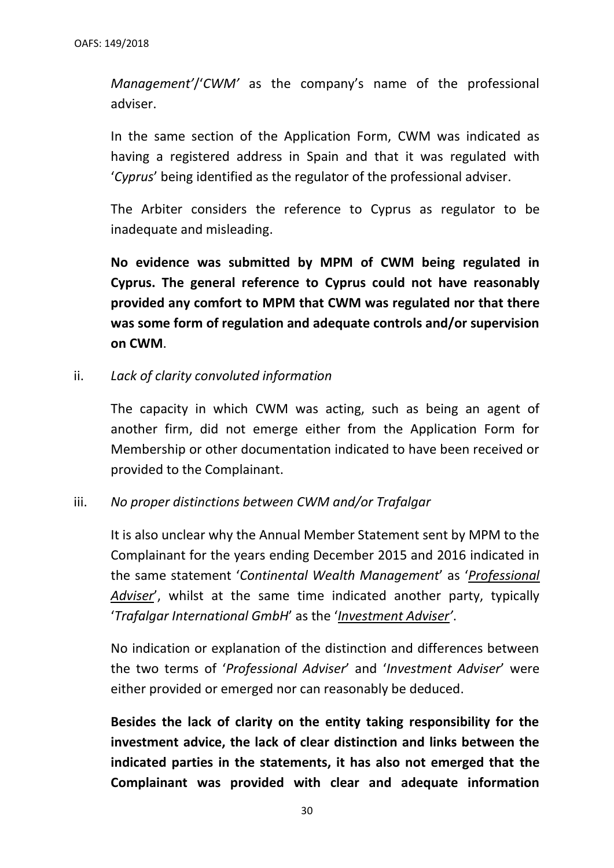*Management'*/'*CWM'* as the company's name of the professional adviser.

In the same section of the Application Form, CWM was indicated as having a registered address in Spain and that it was regulated with '*Cyprus*' being identified as the regulator of the professional adviser.

The Arbiter considers the reference to Cyprus as regulator to be inadequate and misleading.

**No evidence was submitted by MPM of CWM being regulated in Cyprus. The general reference to Cyprus could not have reasonably provided any comfort to MPM that CWM was regulated nor that there was some form of regulation and adequate controls and/or supervision on CWM**.

ii. *Lack of clarity convoluted information* 

The capacity in which CWM was acting, such as being an agent of another firm, did not emerge either from the Application Form for Membership or other documentation indicated to have been received or provided to the Complainant.

iii. *No proper distinctions between CWM and/or Trafalgar*

It is also unclear why the Annual Member Statement sent by MPM to the Complainant for the years ending December 2015 and 2016 indicated in the same statement '*Continental Wealth Management*' as '*Professional Adviser*', whilst at the same time indicated another party, typically '*Trafalgar International GmbH*' as the '*Investment Adviser'*.

No indication or explanation of the distinction and differences between the two terms of '*Professional Adviser*' and '*Investment Adviser*' were either provided or emerged nor can reasonably be deduced.

**Besides the lack of clarity on the entity taking responsibility for the investment advice, the lack of clear distinction and links between the indicated parties in the statements, it has also not emerged that the Complainant was provided with clear and adequate information**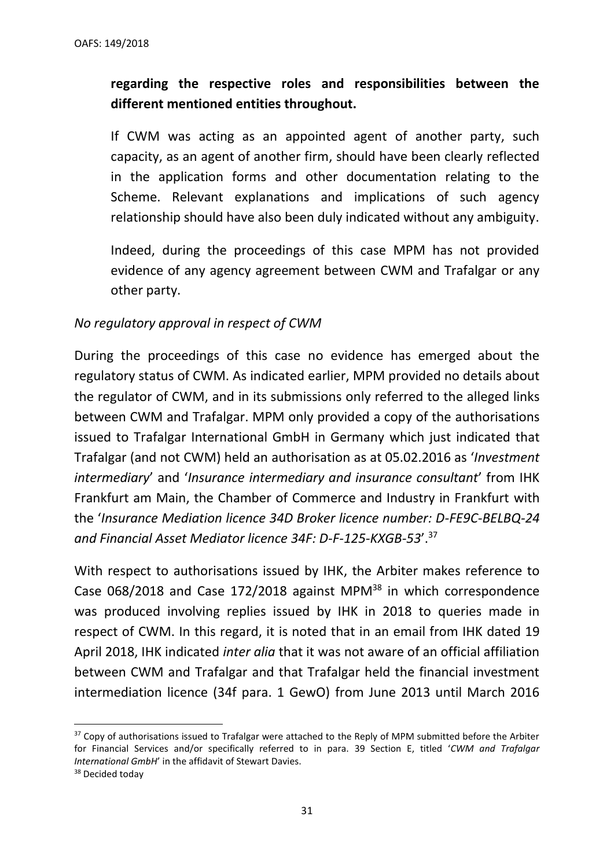# **regarding the respective roles and responsibilities between the different mentioned entities throughout.**

If CWM was acting as an appointed agent of another party, such capacity, as an agent of another firm, should have been clearly reflected in the application forms and other documentation relating to the Scheme. Relevant explanations and implications of such agency relationship should have also been duly indicated without any ambiguity.

Indeed, during the proceedings of this case MPM has not provided evidence of any agency agreement between CWM and Trafalgar or any other party.

## *No regulatory approval in respect of CWM*

During the proceedings of this case no evidence has emerged about the regulatory status of CWM. As indicated earlier, MPM provided no details about the regulator of CWM, and in its submissions only referred to the alleged links between CWM and Trafalgar. MPM only provided a copy of the authorisations issued to Trafalgar International GmbH in Germany which just indicated that Trafalgar (and not CWM) held an authorisation as at 05.02.2016 as '*Investment intermediary*' and '*Insurance intermediary and insurance consultant*' from IHK Frankfurt am Main, the Chamber of Commerce and Industry in Frankfurt with the '*Insurance Mediation licence 34D Broker licence number: D-FE9C-BELBQ-24 and Financial Asset Mediator licence 34F: D-F-125-KXGB-53*'. 37

With respect to authorisations issued by IHK, the Arbiter makes reference to Case 068/2018 and Case 172/2018 against MPM<sup>38</sup> in which correspondence was produced involving replies issued by IHK in 2018 to queries made in respect of CWM. In this regard, it is noted that in an email from IHK dated 19 April 2018, IHK indicated *inter alia* that it was not aware of an official affiliation between CWM and Trafalgar and that Trafalgar held the financial investment intermediation licence (34f para. 1 GewO) from June 2013 until March 2016

<sup>&</sup>lt;sup>37</sup> Copy of authorisations issued to Trafalgar were attached to the Reply of MPM submitted before the Arbiter for Financial Services and/or specifically referred to in para. 39 Section E, titled '*CWM and Trafalgar International GmbH*' in the affidavit of Stewart Davies.

<sup>&</sup>lt;sup>38</sup> Decided today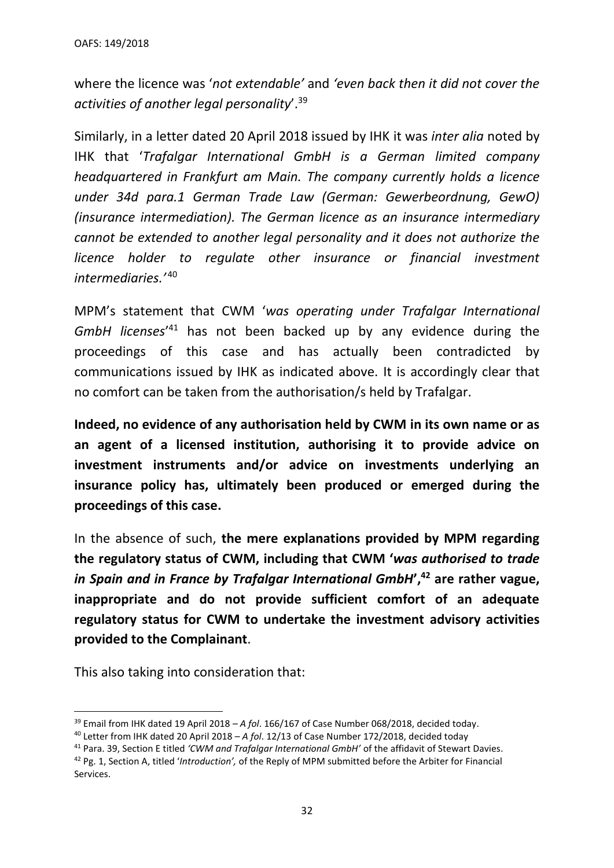where the licence was '*not extendable'* and *'even back then it did not cover the activities of another legal personality*'. 39

Similarly, in a letter dated 20 April 2018 issued by IHK it was *inter alia* noted by IHK that '*Trafalgar International GmbH is a German limited company headquartered in Frankfurt am Main. The company currently holds a licence under 34d para.1 German Trade Law (German: Gewerbeordnung, GewO) (insurance intermediation). The German licence as an insurance intermediary cannot be extended to another legal personality and it does not authorize the licence holder to regulate other insurance or financial investment intermediaries.'* <sup>40</sup>

MPM's statement that CWM '*was operating under Trafalgar International GmbH licenses*' <sup>41</sup> has not been backed up by any evidence during the proceedings of this case and has actually been contradicted by communications issued by IHK as indicated above. It is accordingly clear that no comfort can be taken from the authorisation/s held by Trafalgar.

**Indeed, no evidence of any authorisation held by CWM in its own name or as an agent of a licensed institution, authorising it to provide advice on investment instruments and/or advice on investments underlying an insurance policy has, ultimately been produced or emerged during the proceedings of this case.** 

In the absence of such, **the mere explanations provided by MPM regarding the regulatory status of CWM, including that CWM '***was authorised to trade in Spain and in France by Trafalgar International GmbH***', <sup>42</sup> are rather vague, inappropriate and do not provide sufficient comfort of an adequate regulatory status for CWM to undertake the investment advisory activities provided to the Complainant**.

This also taking into consideration that:

<sup>39</sup> Email from IHK dated 19 April 2018 – *A fol*. 166/167 of Case Number 068/2018, decided today.

<sup>40</sup> Letter from IHK dated 20 April 2018 – *A fol*. 12/13 of Case Number 172/2018, decided today

<sup>41</sup> Para. 39, Section E titled *'CWM and Trafalgar International GmbH'* of the affidavit of Stewart Davies.

<sup>42</sup> Pg. 1, Section A, titled '*Introduction',* of the Reply of MPM submitted before the Arbiter for Financial Services.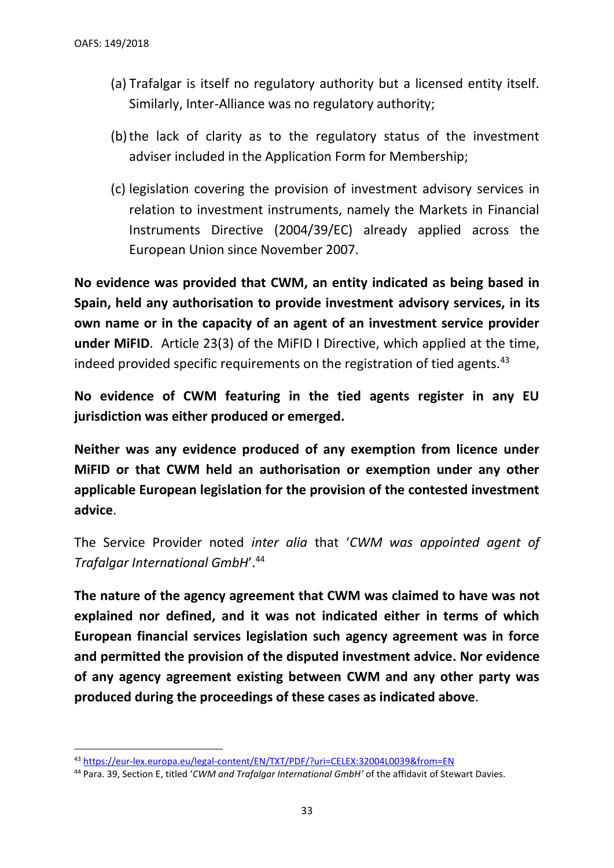- (a) Trafalgar is itself no regulatory authority but a licensed entity itself. Similarly, Inter-Alliance was no regulatory authority;
- (b)the lack of clarity as to the regulatory status of the investment adviser included in the Application Form for Membership;
- (c) legislation covering the provision of investment advisory services in relation to investment instruments, namely the Markets in Financial Instruments Directive (2004/39/EC) already applied across the European Union since November 2007.

**No evidence was provided that CWM, an entity indicated as being based in Spain, held any authorisation to provide investment advisory services, in its own name or in the capacity of an agent of an investment service provider under MiFID**. Article 23(3) of the MiFID I Directive, which applied at the time, indeed provided specific requirements on the registration of tied agents.<sup>43</sup>

**No evidence of CWM featuring in the tied agents register in any EU jurisdiction was either produced or emerged.** 

**Neither was any evidence produced of any exemption from licence under MiFID or that CWM held an authorisation or exemption under any other applicable European legislation for the provision of the contested investment advice**.

The Service Provider noted *inter alia* that '*CWM was appointed agent of Trafalgar International GmbH*'.<sup>44</sup>

**The nature of the agency agreement that CWM was claimed to have was not explained nor defined, and it was not indicated either in terms of which European financial services legislation such agency agreement was in force and permitted the provision of the disputed investment advice. Nor evidence of any agency agreement existing between CWM and any other party was produced during the proceedings of these cases as indicated above**.

<sup>43</sup> <https://eur-lex.europa.eu/legal-content/EN/TXT/PDF/?uri=CELEX:32004L0039&from=EN>

<sup>44</sup> Para. 39, Section E, titled '*CWM and Trafalgar International GmbH'* of the affidavit of Stewart Davies.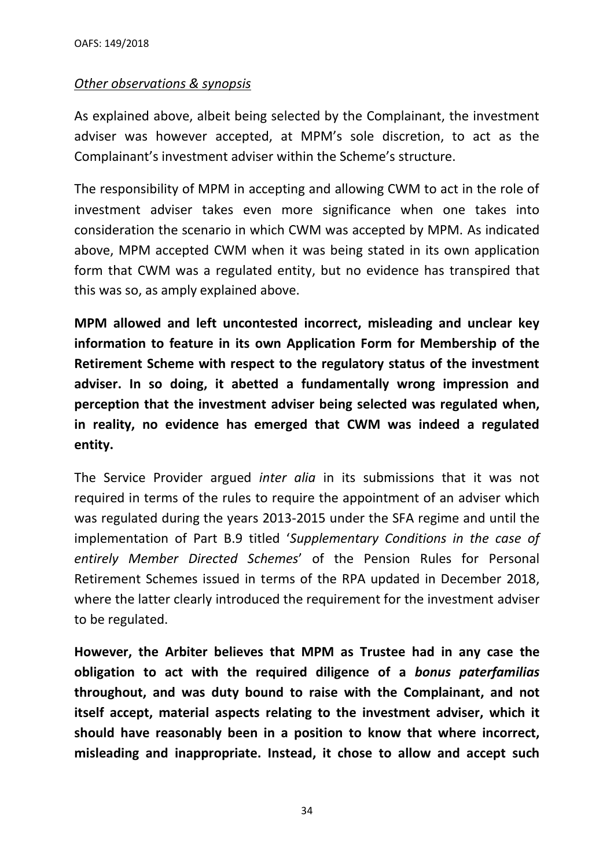#### *Other observations & synopsis*

As explained above, albeit being selected by the Complainant, the investment adviser was however accepted, at MPM's sole discretion, to act as the Complainant's investment adviser within the Scheme's structure.

The responsibility of MPM in accepting and allowing CWM to act in the role of investment adviser takes even more significance when one takes into consideration the scenario in which CWM was accepted by MPM. As indicated above, MPM accepted CWM when it was being stated in its own application form that CWM was a regulated entity, but no evidence has transpired that this was so, as amply explained above.

**MPM allowed and left uncontested incorrect, misleading and unclear key information to feature in its own Application Form for Membership of the Retirement Scheme with respect to the regulatory status of the investment adviser. In so doing, it abetted a fundamentally wrong impression and perception that the investment adviser being selected was regulated when, in reality, no evidence has emerged that CWM was indeed a regulated entity.**

The Service Provider argued *inter alia* in its submissions that it was not required in terms of the rules to require the appointment of an adviser which was regulated during the years 2013-2015 under the SFA regime and until the implementation of Part B.9 titled '*Supplementary Conditions in the case of entirely Member Directed Schemes*' of the Pension Rules for Personal Retirement Schemes issued in terms of the RPA updated in December 2018, where the latter clearly introduced the requirement for the investment adviser to be regulated.

**However, the Arbiter believes that MPM as Trustee had in any case the obligation to act with the required diligence of a** *bonus paterfamilias* **throughout, and was duty bound to raise with the Complainant, and not itself accept, material aspects relating to the investment adviser, which it should have reasonably been in a position to know that where incorrect, misleading and inappropriate. Instead, it chose to allow and accept such** 

34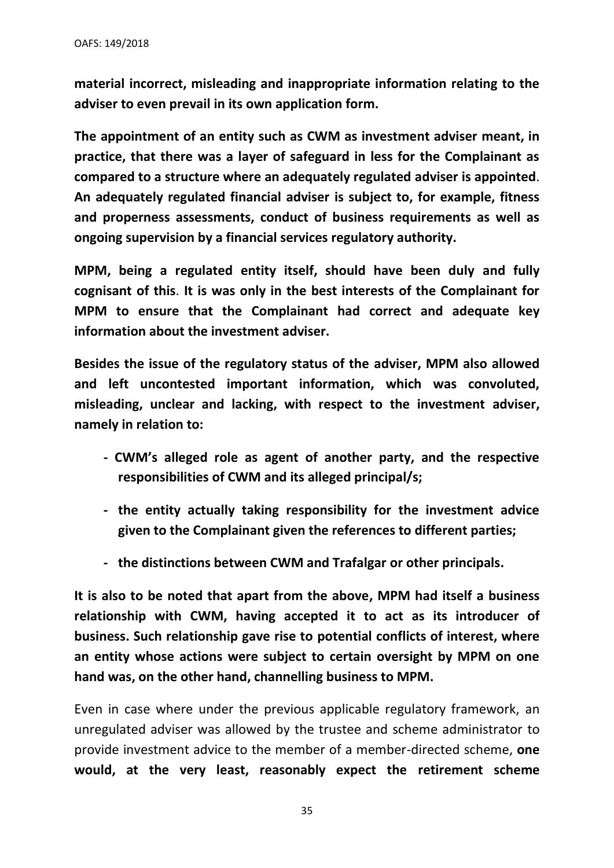**material incorrect, misleading and inappropriate information relating to the adviser to even prevail in its own application form.**

**The appointment of an entity such as CWM as investment adviser meant, in practice, that there was a layer of safeguard in less for the Complainant as compared to a structure where an adequately regulated adviser is appointed**. **An adequately regulated financial adviser is subject to, for example, fitness and properness assessments, conduct of business requirements as well as ongoing supervision by a financial services regulatory authority.** 

**MPM, being a regulated entity itself, should have been duly and fully cognisant of this**. **It is was only in the best interests of the Complainant for MPM to ensure that the Complainant had correct and adequate key information about the investment adviser.**

**Besides the issue of the regulatory status of the adviser, MPM also allowed and left uncontested important information, which was convoluted, misleading, unclear and lacking, with respect to the investment adviser, namely in relation to:**

- **- CWM's alleged role as agent of another party, and the respective responsibilities of CWM and its alleged principal/s;**
- **- the entity actually taking responsibility for the investment advice given to the Complainant given the references to different parties;**
- **- the distinctions between CWM and Trafalgar or other principals.**

**It is also to be noted that apart from the above, MPM had itself a business relationship with CWM, having accepted it to act as its introducer of business. Such relationship gave rise to potential conflicts of interest, where an entity whose actions were subject to certain oversight by MPM on one hand was, on the other hand, channelling business to MPM.** 

Even in case where under the previous applicable regulatory framework, an unregulated adviser was allowed by the trustee and scheme administrator to provide investment advice to the member of a member-directed scheme, **one would, at the very least, reasonably expect the retirement scheme** 

35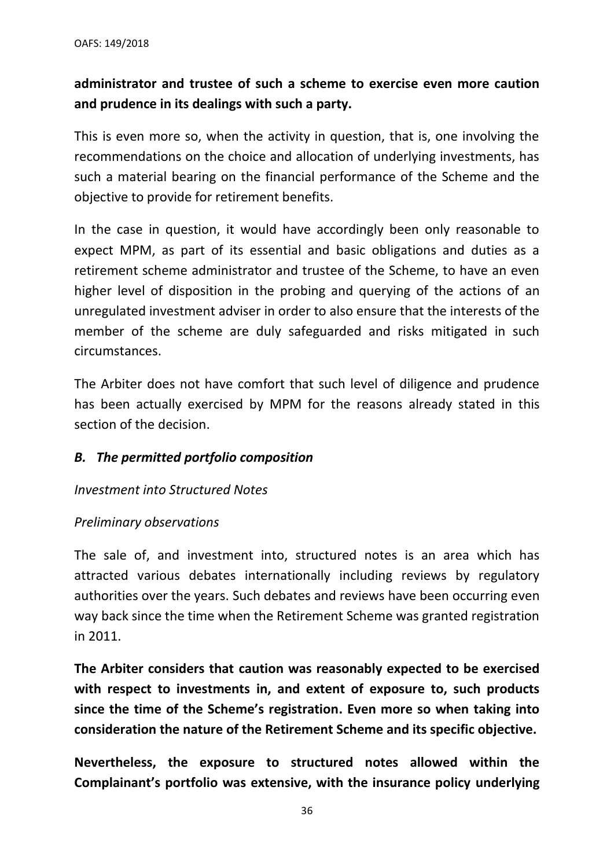# **administrator and trustee of such a scheme to exercise even more caution and prudence in its dealings with such a party.**

This is even more so, when the activity in question, that is, one involving the recommendations on the choice and allocation of underlying investments, has such a material bearing on the financial performance of the Scheme and the objective to provide for retirement benefits.

In the case in question, it would have accordingly been only reasonable to expect MPM, as part of its essential and basic obligations and duties as a retirement scheme administrator and trustee of the Scheme, to have an even higher level of disposition in the probing and querying of the actions of an unregulated investment adviser in order to also ensure that the interests of the member of the scheme are duly safeguarded and risks mitigated in such circumstances.

The Arbiter does not have comfort that such level of diligence and prudence has been actually exercised by MPM for the reasons already stated in this section of the decision.

## *B. The permitted portfolio composition*

## *Investment into Structured Notes*

#### *Preliminary observations*

The sale of, and investment into, structured notes is an area which has attracted various debates internationally including reviews by regulatory authorities over the years. Such debates and reviews have been occurring even way back since the time when the Retirement Scheme was granted registration in 2011.

**The Arbiter considers that caution was reasonably expected to be exercised with respect to investments in, and extent of exposure to, such products since the time of the Scheme's registration. Even more so when taking into consideration the nature of the Retirement Scheme and its specific objective.**

**Nevertheless, the exposure to structured notes allowed within the Complainant's portfolio was extensive, with the insurance policy underlying**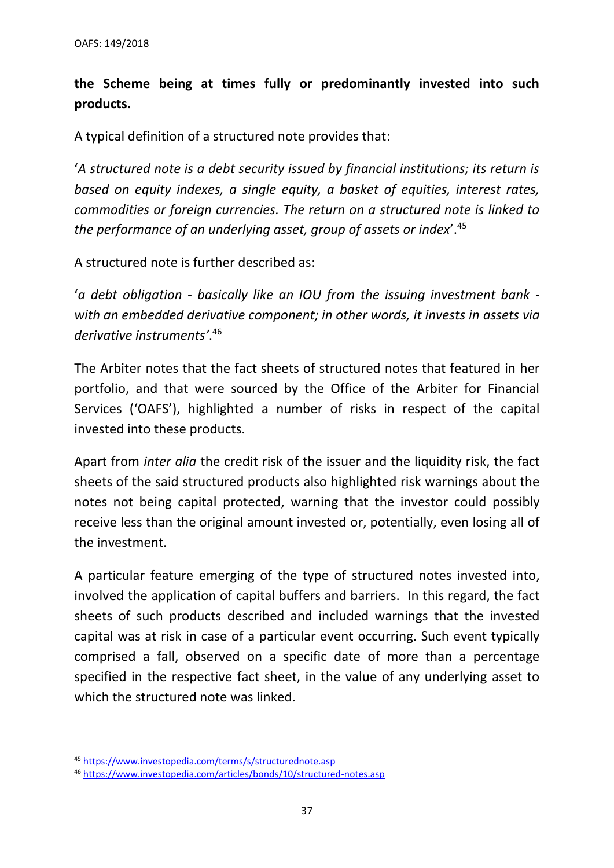# **the Scheme being at times fully or predominantly invested into such products.**

A typical definition of a structured note provides that:

'*A structured note is a [debt security](https://www.investopedia.com/terms/d/debtsecurity.asp) issued by financial institutions; its return is based on equity indexes, a single equity, a basket of equities, interest rates, commodities or foreign currencies. The return on a structured note is linked to the performance of an [underlying asset,](https://www.investopedia.com/terms/u/underlying-asset.asp) group of assets or index*'. 45

A structured note is further described as:

'*a [debt obligation](https://www.investopedia.com/terms/c/cdo.asp) - basically like an [IOU](https://www.investopedia.com/terms/i/iou.asp) from the issuing [investment bank](https://www.investopedia.com/terms/i/investmentbank.asp) with an embedded [derivative](https://www.investopedia.com/terms/d/derivative.asp) component; in other words, it invests in [assets](https://www.investopedia.com/terms/a/asset.asp) via derivative instruments'*. 46

The Arbiter notes that the fact sheets of structured notes that featured in her portfolio, and that were sourced by the Office of the Arbiter for Financial Services ('OAFS'), highlighted a number of risks in respect of the capital invested into these products.

Apart from *inter alia* the credit risk of the issuer and the liquidity risk, the fact sheets of the said structured products also highlighted risk warnings about the notes not being capital protected, warning that the investor could possibly receive less than the original amount invested or, potentially, even losing all of the investment.

A particular feature emerging of the type of structured notes invested into, involved the application of capital buffers and barriers. In this regard, the fact sheets of such products described and included warnings that the invested capital was at risk in case of a particular event occurring. Such event typically comprised a fall, observed on a specific date of more than a percentage specified in the respective fact sheet, in the value of any underlying asset to which the structured note was linked.

<sup>45</sup> <https://www.investopedia.com/terms/s/structurednote.asp>

<sup>46</sup> <https://www.investopedia.com/articles/bonds/10/structured-notes.asp>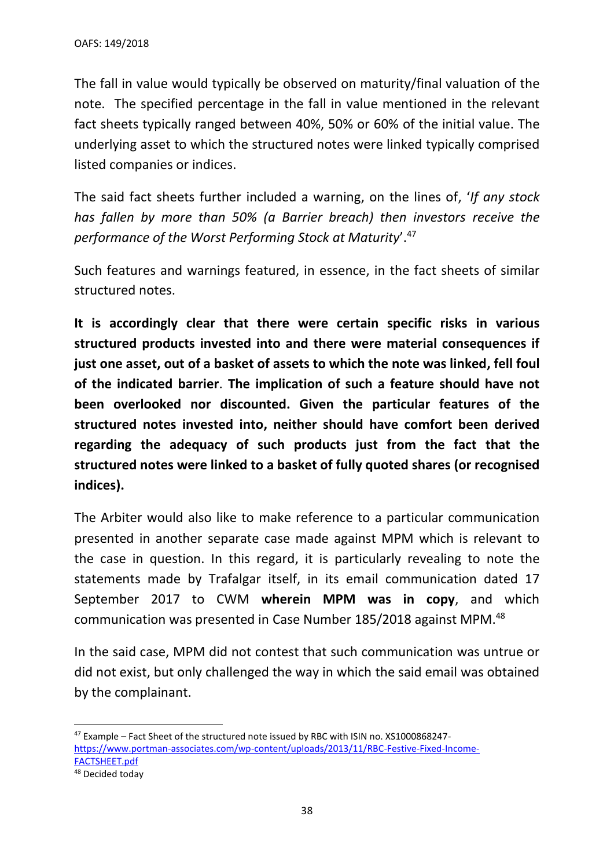The fall in value would typically be observed on maturity/final valuation of the note. The specified percentage in the fall in value mentioned in the relevant fact sheets typically ranged between 40%, 50% or 60% of the initial value. The underlying asset to which the structured notes were linked typically comprised listed companies or indices.

The said fact sheets further included a warning, on the lines of, '*If any stock has fallen by more than 50% (a Barrier breach) then investors receive the performance of the Worst Performing Stock at Maturity*'. 47

Such features and warnings featured, in essence, in the fact sheets of similar structured notes.

**It is accordingly clear that there were certain specific risks in various structured products invested into and there were material consequences if just one asset, out of a basket of assets to which the note was linked, fell foul of the indicated barrier**. **The implication of such a feature should have not been overlooked nor discounted. Given the particular features of the structured notes invested into, neither should have comfort been derived regarding the adequacy of such products just from the fact that the structured notes were linked to a basket of fully quoted shares (or recognised indices).**

The Arbiter would also like to make reference to a particular communication presented in another separate case made against MPM which is relevant to the case in question. In this regard, it is particularly revealing to note the statements made by Trafalgar itself, in its email communication dated 17 September 2017 to CWM **wherein MPM was in copy**, and which communication was presented in Case Number 185/2018 against MPM.<sup>48</sup>

In the said case, MPM did not contest that such communication was untrue or did not exist, but only challenged the way in which the said email was obtained by the complainant.

<sup>47</sup> Example – Fact Sheet of the structured note issued by RBC with ISIN no. XS1000868247 [https://www.portman-associates.com/wp-content/uploads/2013/11/RBC-Festive-Fixed-Income-](https://www.portman-associates.com/wp-content/uploads/2013/11/RBC-Festive-Fixed-Income-FACTSHEET.pdf)[FACTSHEET.pdf](https://www.portman-associates.com/wp-content/uploads/2013/11/RBC-Festive-Fixed-Income-FACTSHEET.pdf)

<sup>48</sup> Decided today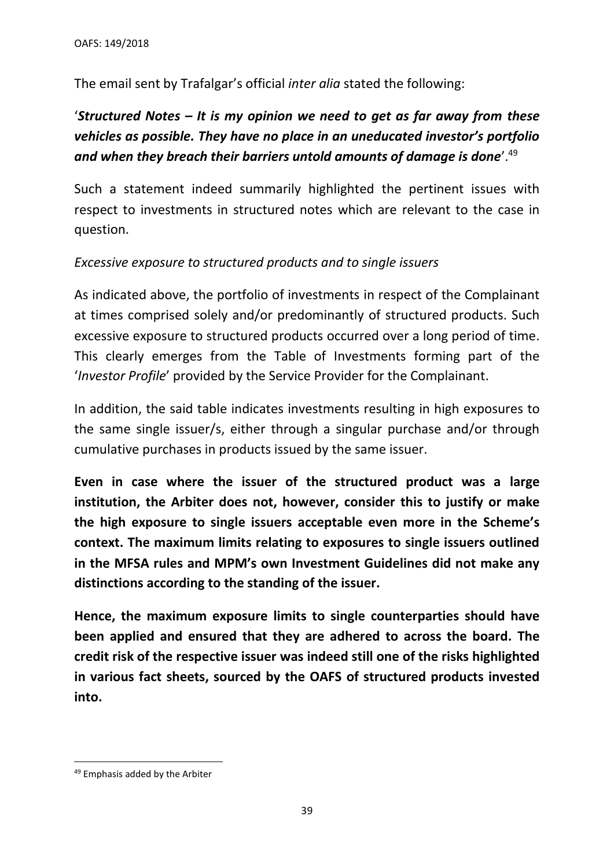The email sent by Trafalgar's official *inter alia* stated the following:

# '*Structured Notes – It is my opinion we need to get as far away from these vehicles as possible. They have no place in an uneducated investor's portfolio and when they breach their barriers untold amounts of damage is done*'.<sup>49</sup>

Such a statement indeed summarily highlighted the pertinent issues with respect to investments in structured notes which are relevant to the case in question.

## *Excessive exposure to structured products and to single issuers*

As indicated above, the portfolio of investments in respect of the Complainant at times comprised solely and/or predominantly of structured products. Such excessive exposure to structured products occurred over a long period of time. This clearly emerges from the Table of Investments forming part of the '*Investor Profile*' provided by the Service Provider for the Complainant.

In addition, the said table indicates investments resulting in high exposures to the same single issuer/s, either through a singular purchase and/or through cumulative purchases in products issued by the same issuer.

**Even in case where the issuer of the structured product was a large institution, the Arbiter does not, however, consider this to justify or make the high exposure to single issuers acceptable even more in the Scheme's context. The maximum limits relating to exposures to single issuers outlined in the MFSA rules and MPM's own Investment Guidelines did not make any distinctions according to the standing of the issuer.** 

**Hence, the maximum exposure limits to single counterparties should have been applied and ensured that they are adhered to across the board. The credit risk of the respective issuer was indeed still one of the risks highlighted in various fact sheets, sourced by the OAFS of structured products invested into.**

<sup>49</sup> Emphasis added by the Arbiter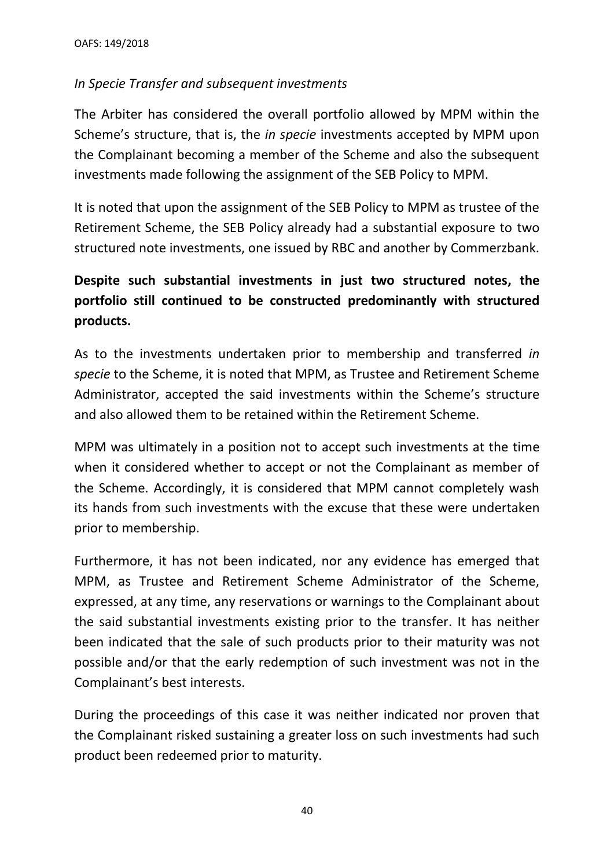## *In Specie Transfer and subsequent investments*

The Arbiter has considered the overall portfolio allowed by MPM within the Scheme's structure, that is, the *in specie* investments accepted by MPM upon the Complainant becoming a member of the Scheme and also the subsequent investments made following the assignment of the SEB Policy to MPM.

It is noted that upon the assignment of the SEB Policy to MPM as trustee of the Retirement Scheme, the SEB Policy already had a substantial exposure to two structured note investments, one issued by RBC and another by Commerzbank.

# **Despite such substantial investments in just two structured notes, the portfolio still continued to be constructed predominantly with structured products.**

As to the investments undertaken prior to membership and transferred *in specie* to the Scheme, it is noted that MPM, as Trustee and Retirement Scheme Administrator, accepted the said investments within the Scheme's structure and also allowed them to be retained within the Retirement Scheme.

MPM was ultimately in a position not to accept such investments at the time when it considered whether to accept or not the Complainant as member of the Scheme. Accordingly, it is considered that MPM cannot completely wash its hands from such investments with the excuse that these were undertaken prior to membership.

Furthermore, it has not been indicated, nor any evidence has emerged that MPM, as Trustee and Retirement Scheme Administrator of the Scheme, expressed, at any time, any reservations or warnings to the Complainant about the said substantial investments existing prior to the transfer. It has neither been indicated that the sale of such products prior to their maturity was not possible and/or that the early redemption of such investment was not in the Complainant's best interests.

During the proceedings of this case it was neither indicated nor proven that the Complainant risked sustaining a greater loss on such investments had such product been redeemed prior to maturity.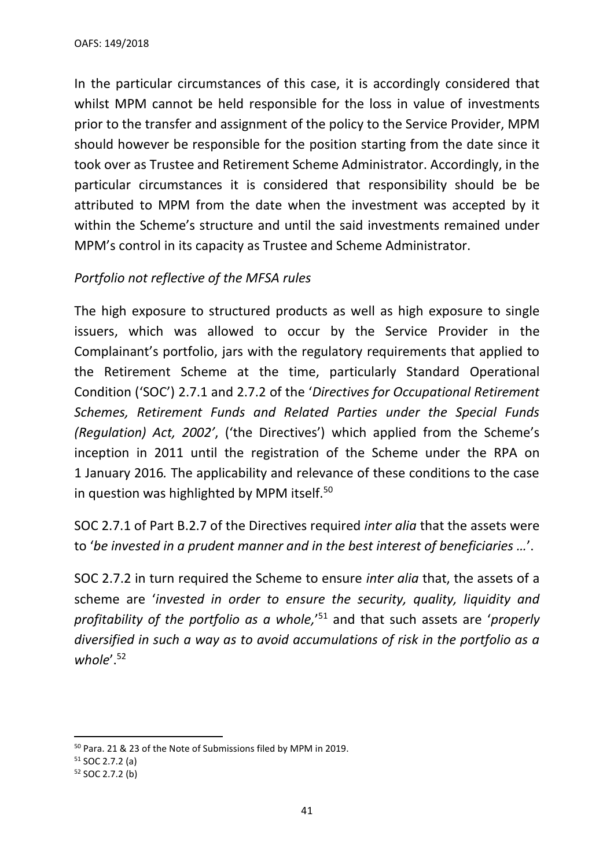In the particular circumstances of this case, it is accordingly considered that whilst MPM cannot be held responsible for the loss in value of investments prior to the transfer and assignment of the policy to the Service Provider, MPM should however be responsible for the position starting from the date since it took over as Trustee and Retirement Scheme Administrator. Accordingly, in the particular circumstances it is considered that responsibility should be be attributed to MPM from the date when the investment was accepted by it within the Scheme's structure and until the said investments remained under MPM's control in its capacity as Trustee and Scheme Administrator.

## *Portfolio not reflective of the MFSA rules*

The high exposure to structured products as well as high exposure to single issuers, which was allowed to occur by the Service Provider in the Complainant's portfolio, jars with the regulatory requirements that applied to the Retirement Scheme at the time, particularly Standard Operational Condition ('SOC') 2.7.1 and 2.7.2 of the '*Directives for Occupational Retirement Schemes, Retirement Funds and Related Parties under the Special Funds (Regulation) Act, 2002'*, ('the Directives') which applied from the Scheme's inception in 2011 until the registration of the Scheme under the RPA on 1 January 2016*.* The applicability and relevance of these conditions to the case in question was highlighted by MPM itself.<sup>50</sup>

SOC 2.7.1 of Part B.2.7 of the Directives required *inter alia* that the assets were to '*be invested in a prudent manner and in the best interest of beneficiaries …*'.

SOC 2.7.2 in turn required the Scheme to ensure *inter alia* that, the assets of a scheme are '*invested in order to ensure the security, quality, liquidity and profitability of the portfolio as a whole,*' <sup>51</sup> and that such assets are '*properly diversified in such a way as to avoid accumulations of risk in the portfolio as a*  whole'.<sup>52</sup>

<sup>50</sup> Para. 21 & 23 of the Note of Submissions filed by MPM in 2019.

 $51$  SOC 2.7.2 (a)

<sup>52</sup> SOC 2.7.2 (b)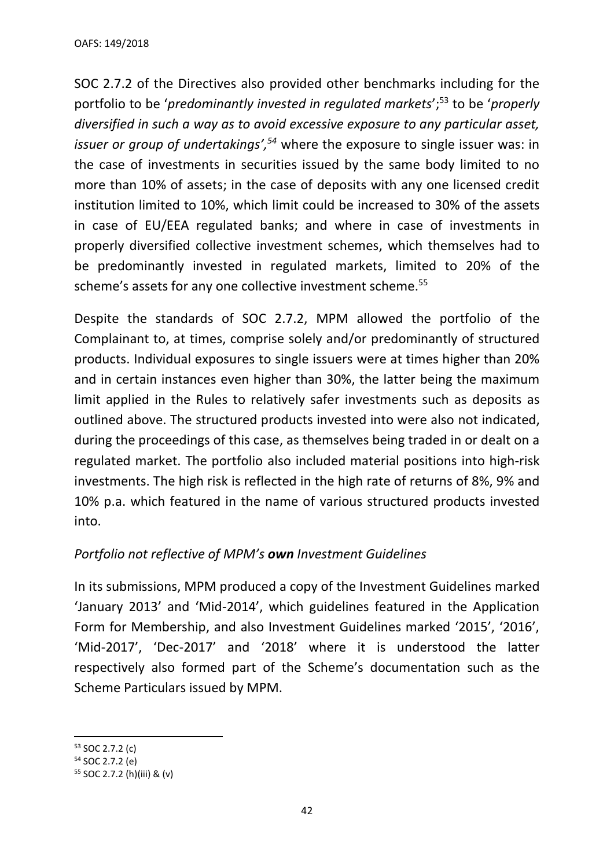SOC 2.7.2 of the Directives also provided other benchmarks including for the portfolio to be '*predominantly invested in regulated markets*'; <sup>53</sup> to be '*properly diversified in such a way as to avoid excessive exposure to any particular asset, issuer or group of undertakings', <sup>54</sup>* where the exposure to single issuer was: in the case of investments in securities issued by the same body limited to no more than 10% of assets; in the case of deposits with any one licensed credit institution limited to 10%, which limit could be increased to 30% of the assets in case of EU/EEA regulated banks; and where in case of investments in properly diversified collective investment schemes, which themselves had to be predominantly invested in regulated markets, limited to 20% of the scheme's assets for any one collective investment scheme.<sup>55</sup>

Despite the standards of SOC 2.7.2, MPM allowed the portfolio of the Complainant to, at times, comprise solely and/or predominantly of structured products. Individual exposures to single issuers were at times higher than 20% and in certain instances even higher than 30%, the latter being the maximum limit applied in the Rules to relatively safer investments such as deposits as outlined above. The structured products invested into were also not indicated, during the proceedings of this case, as themselves being traded in or dealt on a regulated market. The portfolio also included material positions into high-risk investments. The high risk is reflected in the high rate of returns of 8%, 9% and 10% p.a. which featured in the name of various structured products invested into.

## *Portfolio not reflective of MPM's own Investment Guidelines*

In its submissions, MPM produced a copy of the Investment Guidelines marked 'January 2013' and 'Mid-2014', which guidelines featured in the Application Form for Membership, and also Investment Guidelines marked '2015', '2016', 'Mid-2017', 'Dec-2017' and '2018' where it is understood the latter respectively also formed part of the Scheme's documentation such as the Scheme Particulars issued by MPM.

<sup>53</sup> SOC 2.7.2 (c)

<sup>54</sup> SOC 2.7.2 (e)

<sup>55</sup> SOC 2.7.2 (h)(iii) & (v)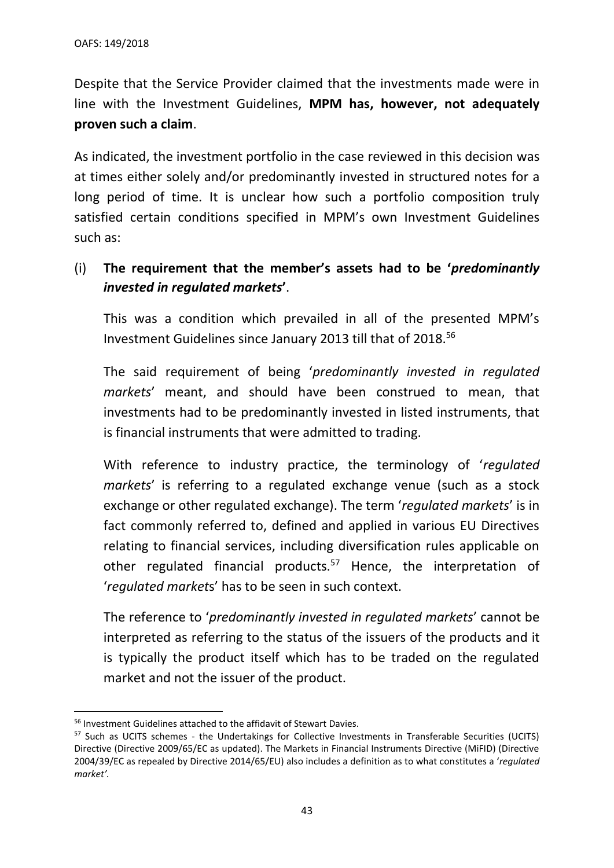Despite that the Service Provider claimed that the investments made were in line with the Investment Guidelines, **MPM has, however, not adequately proven such a claim**.

As indicated, the investment portfolio in the case reviewed in this decision was at times either solely and/or predominantly invested in structured notes for a long period of time. It is unclear how such a portfolio composition truly satisfied certain conditions specified in MPM's own Investment Guidelines such as:

(i) **The requirement that the member's assets had to be '***predominantly invested in regulated markets***'**.

This was a condition which prevailed in all of the presented MPM's Investment Guidelines since January 2013 till that of 2018. 56

The said requirement of being '*predominantly invested in regulated markets*' meant, and should have been construed to mean, that investments had to be predominantly invested in listed instruments, that is financial instruments that were admitted to trading.

With reference to industry practice, the terminology of '*regulated markets*' is referring to a regulated exchange venue (such as a stock exchange or other regulated exchange). The term '*regulated markets*' is in fact commonly referred to, defined and applied in various EU Directives relating to financial services, including diversification rules applicable on other regulated financial products.<sup>57</sup> Hence, the interpretation of '*regulated market*s' has to be seen in such context.

The reference to '*predominantly invested in regulated markets*' cannot be interpreted as referring to the status of the issuers of the products and it is typically the product itself which has to be traded on the regulated market and not the issuer of the product.

<sup>56</sup> Investment Guidelines attached to the affidavit of Stewart Davies.

<sup>57</sup> Such as UCITS schemes - the Undertakings for Collective Investments in Transferable Securities (UCITS) Directive (Directive 2009/65/EC as updated). The Markets in Financial Instruments Directive (MiFID) (Directive 2004/39/EC as repealed by Directive 2014/65/EU) also includes a definition as to what constitutes a '*regulated market'.*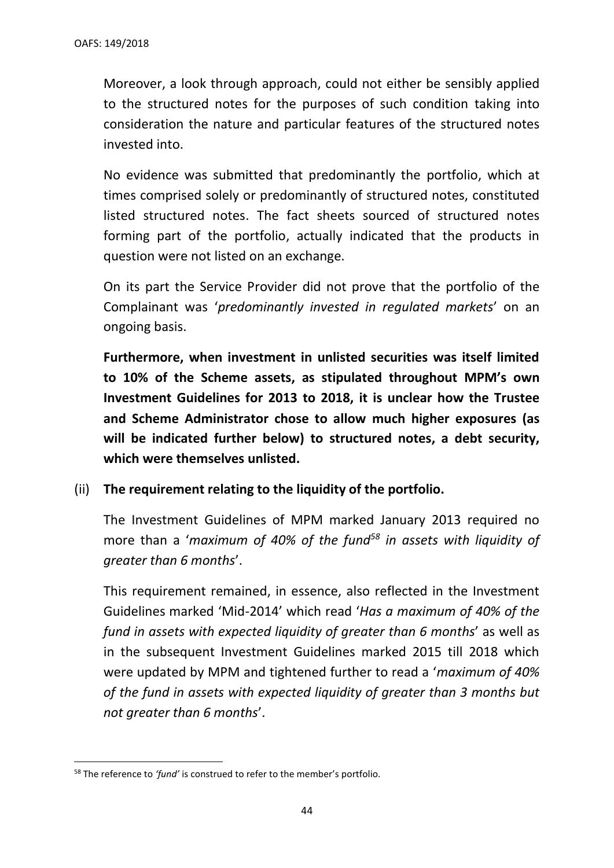Moreover, a look through approach, could not either be sensibly applied to the structured notes for the purposes of such condition taking into consideration the nature and particular features of the structured notes invested into.

No evidence was submitted that predominantly the portfolio, which at times comprised solely or predominantly of structured notes, constituted listed structured notes. The fact sheets sourced of structured notes forming part of the portfolio, actually indicated that the products in question were not listed on an exchange.

On its part the Service Provider did not prove that the portfolio of the Complainant was '*predominantly invested in regulated markets*' on an ongoing basis.

**Furthermore, when investment in unlisted securities was itself limited to 10% of the Scheme assets, as stipulated throughout MPM's own Investment Guidelines for 2013 to 2018, it is unclear how the Trustee and Scheme Administrator chose to allow much higher exposures (as will be indicated further below) to structured notes, a debt security, which were themselves unlisted.** 

## (ii) **The requirement relating to the liquidity of the portfolio.**

The Investment Guidelines of MPM marked January 2013 required no more than a '*maximum of 40% of the fund<sup>58</sup> in assets with liquidity of greater than 6 months*'.

This requirement remained, in essence, also reflected in the Investment Guidelines marked 'Mid-2014' which read '*Has a maximum of 40% of the fund in assets with expected liquidity of greater than 6 months*' as well as in the subsequent Investment Guidelines marked 2015 till 2018 which were updated by MPM and tightened further to read a '*maximum of 40% of the fund in assets with expected liquidity of greater than 3 months but not greater than 6 months*'.

<sup>58</sup> The reference to *'fund'* is construed to refer to the member's portfolio.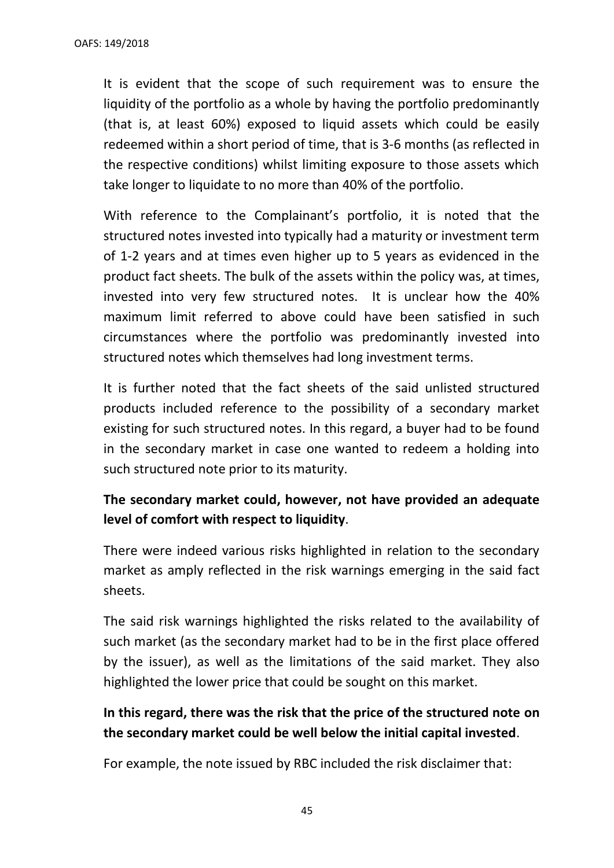It is evident that the scope of such requirement was to ensure the liquidity of the portfolio as a whole by having the portfolio predominantly (that is, at least 60%) exposed to liquid assets which could be easily redeemed within a short period of time, that is 3-6 months (as reflected in the respective conditions) whilst limiting exposure to those assets which take longer to liquidate to no more than 40% of the portfolio.

With reference to the Complainant's portfolio, it is noted that the structured notes invested into typically had a maturity or investment term of 1-2 years and at times even higher up to 5 years as evidenced in the product fact sheets. The bulk of the assets within the policy was, at times, invested into very few structured notes. It is unclear how the 40% maximum limit referred to above could have been satisfied in such circumstances where the portfolio was predominantly invested into structured notes which themselves had long investment terms.

It is further noted that the fact sheets of the said unlisted structured products included reference to the possibility of a secondary market existing for such structured notes. In this regard, a buyer had to be found in the secondary market in case one wanted to redeem a holding into such structured note prior to its maturity.

# **The secondary market could, however, not have provided an adequate level of comfort with respect to liquidity**.

There were indeed various risks highlighted in relation to the secondary market as amply reflected in the risk warnings emerging in the said fact sheets.

The said risk warnings highlighted the risks related to the availability of such market (as the secondary market had to be in the first place offered by the issuer), as well as the limitations of the said market. They also highlighted the lower price that could be sought on this market.

# **In this regard, there was the risk that the price of the structured note on the secondary market could be well below the initial capital invested**.

For example, the note issued by RBC included the risk disclaimer that: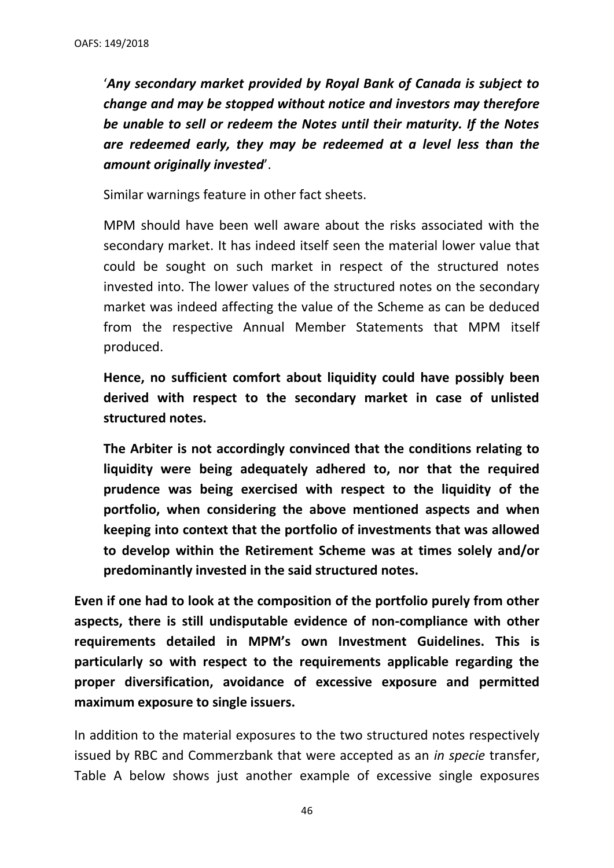'*Any secondary market provided by Royal Bank of Canada is subject to change and may be stopped without notice and investors may therefore be unable to sell or redeem the Notes until their maturity. If the Notes are redeemed early, they may be redeemed at a level less than the amount originally invested*'.

Similar warnings feature in other fact sheets.

MPM should have been well aware about the risks associated with the secondary market. It has indeed itself seen the material lower value that could be sought on such market in respect of the structured notes invested into. The lower values of the structured notes on the secondary market was indeed affecting the value of the Scheme as can be deduced from the respective Annual Member Statements that MPM itself produced.

**Hence, no sufficient comfort about liquidity could have possibly been derived with respect to the secondary market in case of unlisted structured notes.** 

**The Arbiter is not accordingly convinced that the conditions relating to liquidity were being adequately adhered to, nor that the required prudence was being exercised with respect to the liquidity of the portfolio, when considering the above mentioned aspects and when keeping into context that the portfolio of investments that was allowed to develop within the Retirement Scheme was at times solely and/or predominantly invested in the said structured notes.**

**Even if one had to look at the composition of the portfolio purely from other aspects, there is still undisputable evidence of non-compliance with other requirements detailed in MPM's own Investment Guidelines. This is particularly so with respect to the requirements applicable regarding the proper diversification, avoidance of excessive exposure and permitted maximum exposure to single issuers.** 

In addition to the material exposures to the two structured notes respectively issued by RBC and Commerzbank that were accepted as an *in specie* transfer, Table A below shows just another example of excessive single exposures

46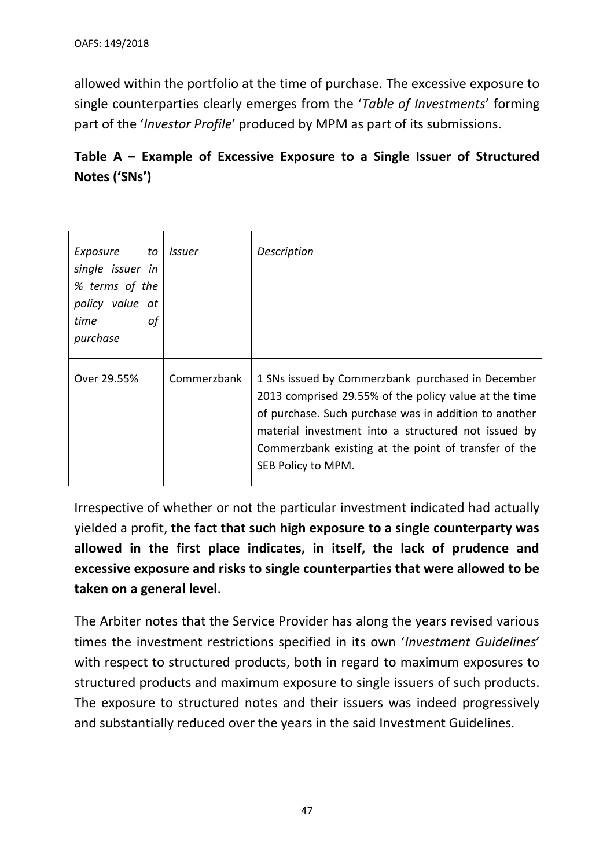allowed within the portfolio at the time of purchase. The excessive exposure to single counterparties clearly emerges from the '*Table of Investments*' forming part of the '*Investor Profile*' produced by MPM as part of its submissions.

# **Table A – Example of Excessive Exposure to a Single Issuer of Structured Notes ('SNs')**

| Exposure to Issuer<br>single issuer in<br>% terms of the<br>policy value at<br>time<br>0f<br>purchase |             | Description                                                                                                                                                                                                                                                                                              |
|-------------------------------------------------------------------------------------------------------|-------------|----------------------------------------------------------------------------------------------------------------------------------------------------------------------------------------------------------------------------------------------------------------------------------------------------------|
| Over 29.55%                                                                                           | Commerzbank | 1 SNs issued by Commerzbank purchased in December<br>2013 comprised 29.55% of the policy value at the time<br>of purchase. Such purchase was in addition to another<br>material investment into a structured not issued by<br>Commerzbank existing at the point of transfer of the<br>SEB Policy to MPM. |

Irrespective of whether or not the particular investment indicated had actually yielded a profit, **the fact that such high exposure to a single counterparty was allowed in the first place indicates, in itself, the lack of prudence and excessive exposure and risks to single counterparties that were allowed to be taken on a general level**.

The Arbiter notes that the Service Provider has along the years revised various times the investment restrictions specified in its own '*Investment Guidelines*' with respect to structured products, both in regard to maximum exposures to structured products and maximum exposure to single issuers of such products. The exposure to structured notes and their issuers was indeed progressively and substantially reduced over the years in the said Investment Guidelines.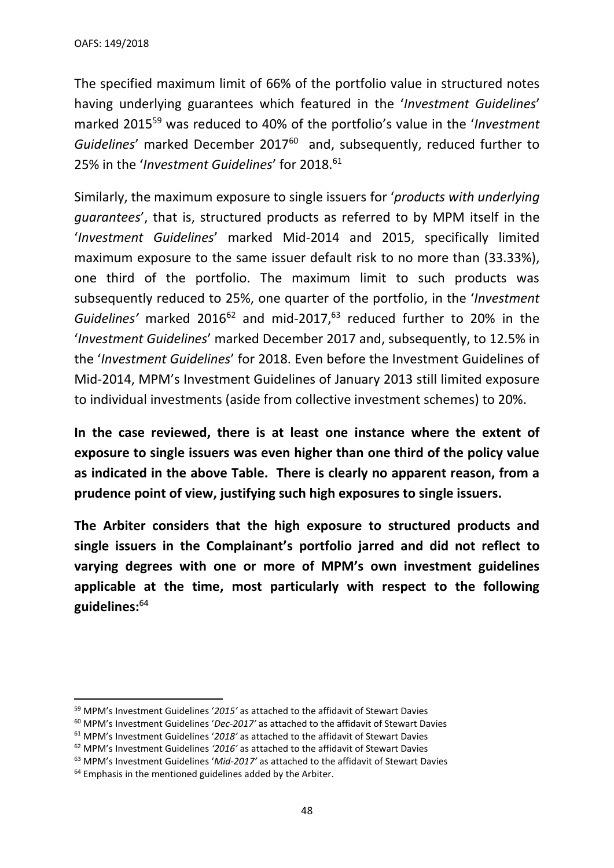The specified maximum limit of 66% of the portfolio value in structured notes having underlying guarantees which featured in the '*Investment Guidelines*' marked 2015<sup>59</sup> was reduced to 40% of the portfolio's value in the '*Investment Guidelines*' marked December 2017<sup>60</sup> and, subsequently, reduced further to 25% in the '*Investment Guidelines*' for 2018. 61

Similarly, the maximum exposure to single issuers for '*products with underlying guarantees*', that is, structured products as referred to by MPM itself in the '*Investment Guidelines*' marked Mid-2014 and 2015, specifically limited maximum exposure to the same issuer default risk to no more than (33.33%), one third of the portfolio. The maximum limit to such products was subsequently reduced to 25%, one quarter of the portfolio, in the '*Investment*  Guidelines' marked 2016<sup>62</sup> and mid-2017,<sup>63</sup> reduced further to 20% in the '*Investment Guidelines*' marked December 2017 and, subsequently, to 12.5% in the '*Investment Guidelines*' for 2018. Even before the Investment Guidelines of Mid-2014, MPM's Investment Guidelines of January 2013 still limited exposure to individual investments (aside from collective investment schemes) to 20%.

**In the case reviewed, there is at least one instance where the extent of exposure to single issuers was even higher than one third of the policy value as indicated in the above Table. There is clearly no apparent reason, from a prudence point of view, justifying such high exposures to single issuers.** 

**The Arbiter considers that the high exposure to structured products and single issuers in the Complainant's portfolio jarred and did not reflect to varying degrees with one or more of MPM's own investment guidelines applicable at the time, most particularly with respect to the following guidelines:** 64

<sup>59</sup> MPM's Investment Guidelines '*2015'* as attached to the affidavit of Stewart Davies

<sup>60</sup> MPM's Investment Guidelines '*Dec-2017'* as attached to the affidavit of Stewart Davies

<sup>61</sup> MPM's Investment Guidelines '*2018'* as attached to the affidavit of Stewart Davies

<sup>62</sup> MPM's Investment Guidelines *'2016'* as attached to the affidavit of Stewart Davies

<sup>63</sup> MPM's Investment Guidelines '*Mid-2017'* as attached to the affidavit of Stewart Davies

 $64$  Emphasis in the mentioned guidelines added by the Arbiter.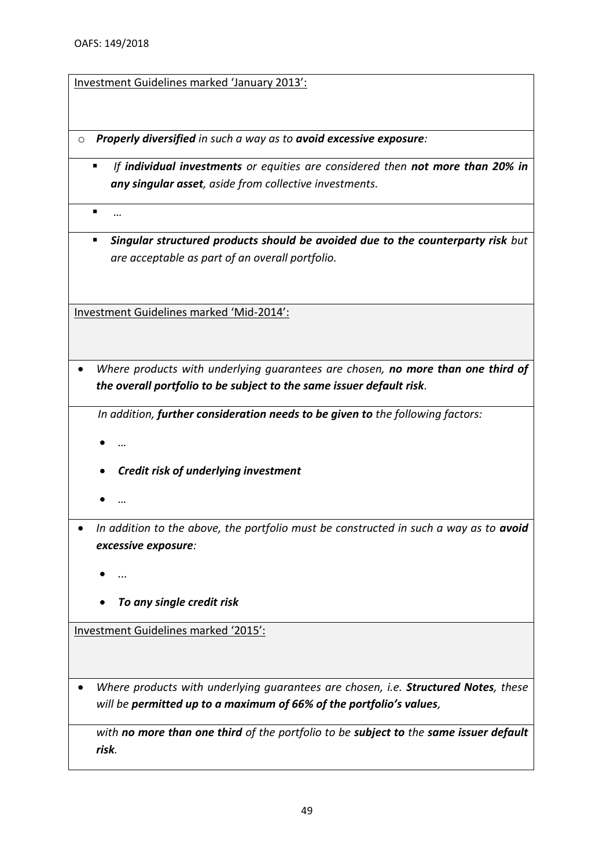Investment Guidelines marked 'January 2013':

- o *Properly diversified in such a way as to avoid excessive exposure:*
	- *If individual investments or equities are considered then not more than 20% in any singular asset, aside from collective investments.*

▪ *…*

▪ *Singular structured products should be avoided due to the counterparty risk but are acceptable as part of an overall portfolio.*

Investment Guidelines marked 'Mid-2014':

• *Where products with underlying guarantees are chosen, no more than one third of the overall portfolio to be subject to the same issuer default risk.* 

*In addition, further consideration needs to be given to the following factors:*

- *…*
- *Credit risk of underlying investment*
- *…*
- In addition to the above, the portfolio must be constructed in such a way as to **avoid** *excessive exposure:* 
	- *...*
	- *To any single credit risk*

Investment Guidelines marked '2015':

• *Where products with underlying guarantees are chosen, i.e. Structured Notes, these will be permitted up to a maximum of 66% of the portfolio's values,* 

*with no more than one third of the portfolio to be subject to the same issuer default risk.*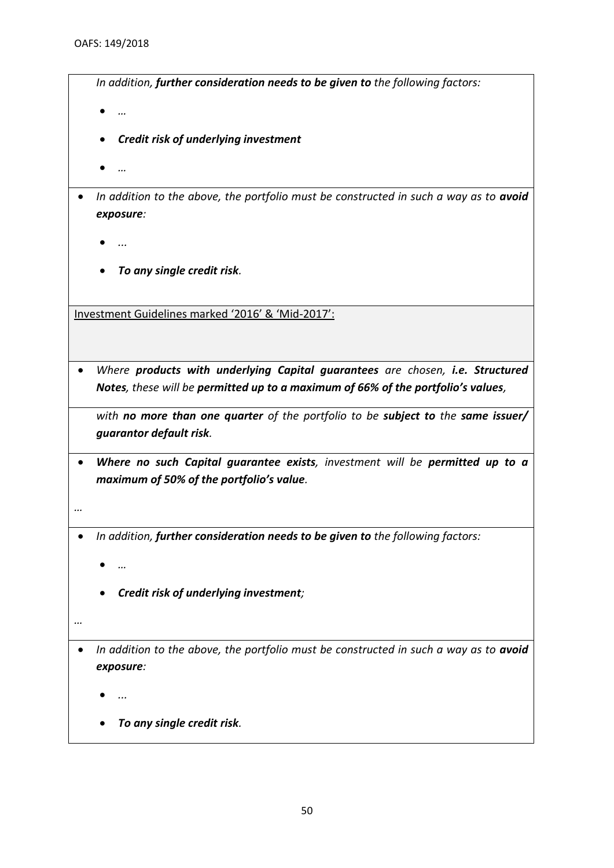*In addition, further consideration needs to be given to the following factors:*

- *…*
- *Credit risk of underlying investment*
- *…*
- In addition to the above, the portfolio must be constructed in such a way as to **avoid** *exposure:* 
	- *...*
	- *To any single credit risk.*

Investment Guidelines marked '2016' & 'Mid-2017':

• *Where products with underlying Capital guarantees are chosen, i.e. Structured Notes, these will be permitted up to a maximum of 66% of the portfolio's values,*

*with no more than one quarter of the portfolio to be subject to the same issuer/ guarantor default risk.* 

- *Where no such Capital guarantee exists, investment will be permitted up to a maximum of 50% of the portfolio's value.*
- *…*
- *In addition, further consideration needs to be given to the following factors:*
	- *…*
	- *Credit risk of underlying investment;*
- *…*
- In addition to the above, the portfolio must be constructed in such a way as to **avoid** *exposure:* 
	- *...*
	- *To any single credit risk.*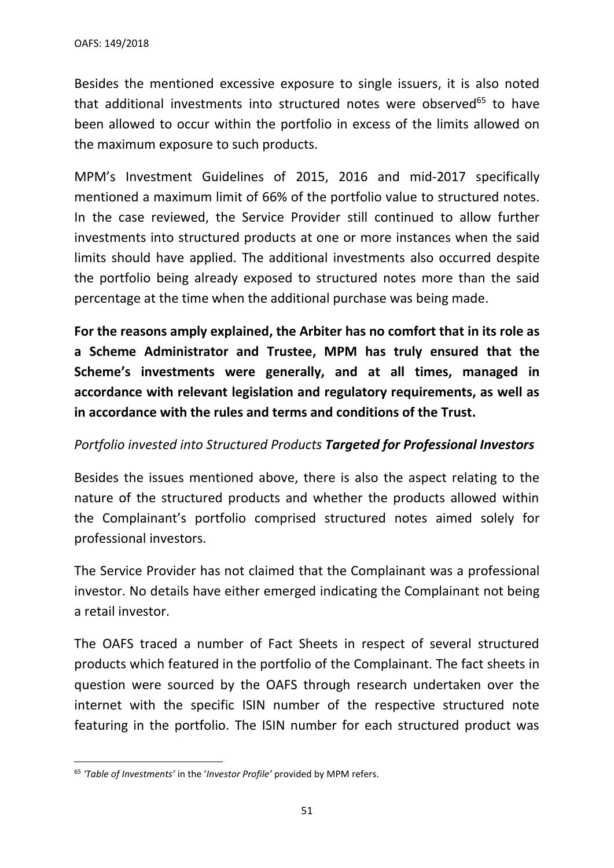Besides the mentioned excessive exposure to single issuers, it is also noted that additional investments into structured notes were observed $65$  to have been allowed to occur within the portfolio in excess of the limits allowed on the maximum exposure to such products.

MPM's Investment Guidelines of 2015, 2016 and mid-2017 specifically mentioned a maximum limit of 66% of the portfolio value to structured notes. In the case reviewed, the Service Provider still continued to allow further investments into structured products at one or more instances when the said limits should have applied. The additional investments also occurred despite the portfolio being already exposed to structured notes more than the said percentage at the time when the additional purchase was being made.

**For the reasons amply explained, the Arbiter has no comfort that in its role as a Scheme Administrator and Trustee, MPM has truly ensured that the Scheme's investments were generally, and at all times, managed in accordance with relevant legislation and regulatory requirements, as well as in accordance with the rules and terms and conditions of the Trust.**

## *Portfolio invested into Structured Products Targeted for Professional Investors*

Besides the issues mentioned above, there is also the aspect relating to the nature of the structured products and whether the products allowed within the Complainant's portfolio comprised structured notes aimed solely for professional investors.

The Service Provider has not claimed that the Complainant was a professional investor. No details have either emerged indicating the Complainant not being a retail investor.

The OAFS traced a number of Fact Sheets in respect of several structured products which featured in the portfolio of the Complainant. The fact sheets in question were sourced by the OAFS through research undertaken over the internet with the specific ISIN number of the respective structured note featuring in the portfolio. The ISIN number for each structured product was

<sup>65</sup> *'Table of Investments'* in the '*Investor Profile'* provided by MPM refers.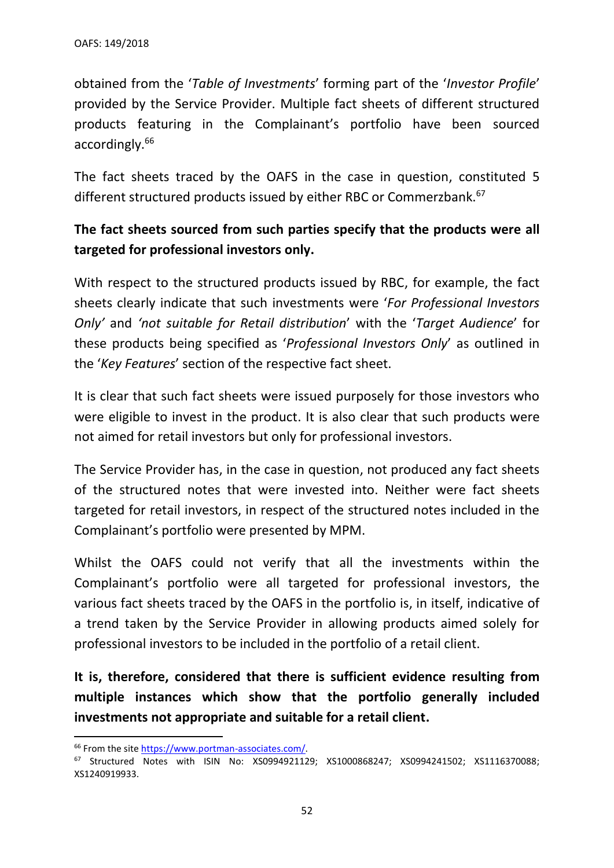obtained from the '*Table of Investments*' forming part of the '*Investor Profile*' provided by the Service Provider. Multiple fact sheets of different structured products featuring in the Complainant's portfolio have been sourced accordingly. 66

The fact sheets traced by the OAFS in the case in question, constituted 5 different structured products issued by either RBC or Commerzbank.<sup>67</sup>

## **The fact sheets sourced from such parties specify that the products were all targeted for professional investors only.**

With respect to the structured products issued by RBC, for example, the fact sheets clearly indicate that such investments were '*For Professional Investors Only'* and *'not suitable for Retail distribution*' with the '*Target Audience*' for these products being specified as '*Professional Investors Only*' as outlined in the '*Key Features*' section of the respective fact sheet.

It is clear that such fact sheets were issued purposely for those investors who were eligible to invest in the product. It is also clear that such products were not aimed for retail investors but only for professional investors.

The Service Provider has, in the case in question, not produced any fact sheets of the structured notes that were invested into. Neither were fact sheets targeted for retail investors, in respect of the structured notes included in the Complainant's portfolio were presented by MPM.

Whilst the OAFS could not verify that all the investments within the Complainant's portfolio were all targeted for professional investors, the various fact sheets traced by the OAFS in the portfolio is, in itself, indicative of a trend taken by the Service Provider in allowing products aimed solely for professional investors to be included in the portfolio of a retail client.

**It is, therefore, considered that there is sufficient evidence resulting from multiple instances which show that the portfolio generally included investments not appropriate and suitable for a retail client.**

<sup>&</sup>lt;sup>66</sup> From the site [https://www.portman-associates.com/.](https://www.portman-associates.com/)

<sup>67</sup> Structured Notes with ISIN No: XS0994921129; XS1000868247; XS0994241502; XS1116370088; XS1240919933.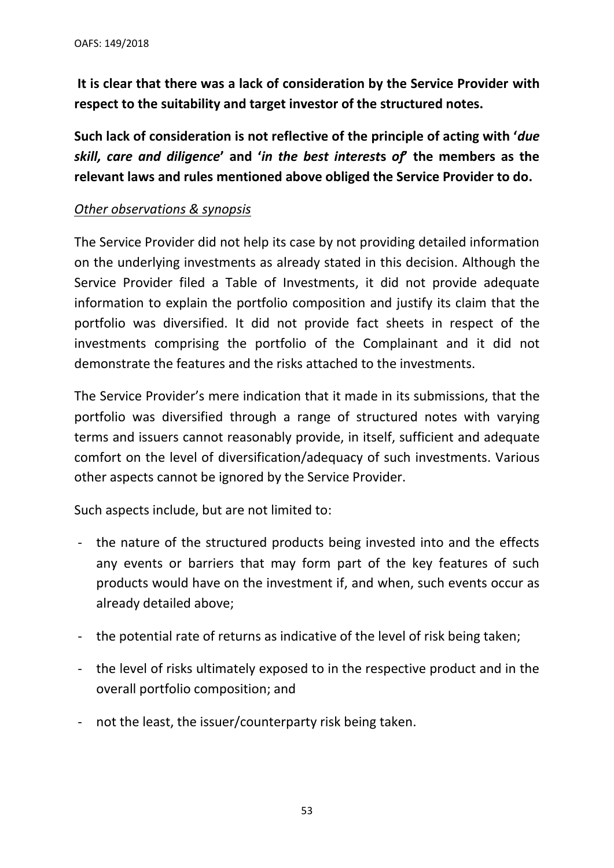**It is clear that there was a lack of consideration by the Service Provider with respect to the suitability and target investor of the structured notes.** 

**Such lack of consideration is not reflective of the principle of acting with '***due skill, care and diligence***' and '***in the best interest***s** *of***' the members as the relevant laws and rules mentioned above obliged the Service Provider to do.**

## *Other observations & synopsis*

The Service Provider did not help its case by not providing detailed information on the underlying investments as already stated in this decision. Although the Service Provider filed a Table of Investments, it did not provide adequate information to explain the portfolio composition and justify its claim that the portfolio was diversified. It did not provide fact sheets in respect of the investments comprising the portfolio of the Complainant and it did not demonstrate the features and the risks attached to the investments.

The Service Provider's mere indication that it made in its submissions, that the portfolio was diversified through a range of structured notes with varying terms and issuers cannot reasonably provide, in itself, sufficient and adequate comfort on the level of diversification/adequacy of such investments. Various other aspects cannot be ignored by the Service Provider.

Such aspects include, but are not limited to:

- the nature of the structured products being invested into and the effects any events or barriers that may form part of the key features of such products would have on the investment if, and when, such events occur as already detailed above;
- the potential rate of returns as indicative of the level of risk being taken;
- the level of risks ultimately exposed to in the respective product and in the overall portfolio composition; and
- not the least, the issuer/counterparty risk being taken.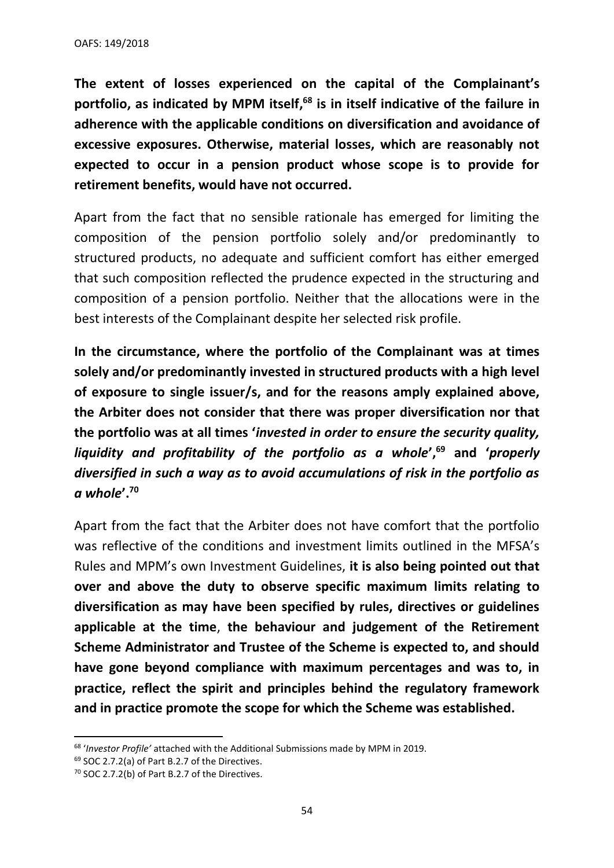**The extent of losses experienced on the capital of the Complainant's portfolio, as indicated by MPM itself, <sup>68</sup> is in itself indicative of the failure in adherence with the applicable conditions on diversification and avoidance of excessive exposures. Otherwise, material losses, which are reasonably not expected to occur in a pension product whose scope is to provide for retirement benefits, would have not occurred.** 

Apart from the fact that no sensible rationale has emerged for limiting the composition of the pension portfolio solely and/or predominantly to structured products, no adequate and sufficient comfort has either emerged that such composition reflected the prudence expected in the structuring and composition of a pension portfolio. Neither that the allocations were in the best interests of the Complainant despite her selected risk profile.

**In the circumstance, where the portfolio of the Complainant was at times solely and/or predominantly invested in structured products with a high level of exposure to single issuer/s, and for the reasons amply explained above, the Arbiter does not consider that there was proper diversification nor that the portfolio was at all times '***invested in order to ensure the security quality, liquidity and profitability of the portfolio as a whole***', <sup>69</sup> and '***properly diversified in such a way as to avoid accumulations of risk in the portfolio as a whole***'.<sup>70</sup>**

Apart from the fact that the Arbiter does not have comfort that the portfolio was reflective of the conditions and investment limits outlined in the MFSA's Rules and MPM's own Investment Guidelines, **it is also being pointed out that over and above the duty to observe specific maximum limits relating to diversification as may have been specified by rules, directives or guidelines applicable at the time**, **the behaviour and judgement of the Retirement Scheme Administrator and Trustee of the Scheme is expected to, and should have gone beyond compliance with maximum percentages and was to, in practice, reflect the spirit and principles behind the regulatory framework and in practice promote the scope for which the Scheme was established.** 

<sup>68</sup> '*Investor Profile'* attached with the Additional Submissions made by MPM in 2019.

<sup>69</sup> SOC 2.7.2(a) of Part B.2.7 of the Directives.

<sup>70</sup> SOC 2.7.2(b) of Part B.2.7 of the Directives.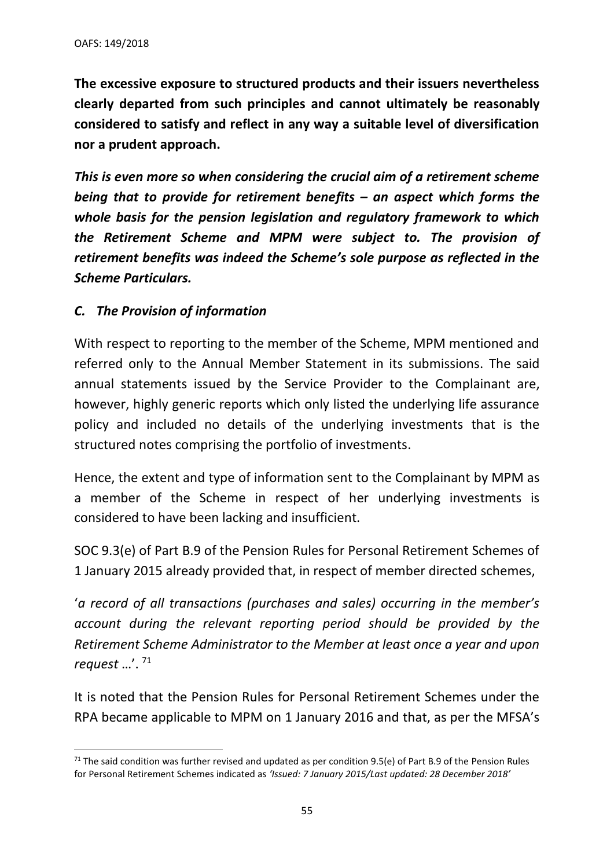**The excessive exposure to structured products and their issuers nevertheless clearly departed from such principles and cannot ultimately be reasonably considered to satisfy and reflect in any way a suitable level of diversification nor a prudent approach.** 

*This is even more so when considering the crucial aim of a retirement scheme being that to provide for retirement benefits – an aspect which forms the whole basis for the pension legislation and regulatory framework to which the Retirement Scheme and MPM were subject to. The provision of retirement benefits was indeed the Scheme's sole purpose as reflected in the Scheme Particulars.* 

## *C. The Provision of information*

With respect to reporting to the member of the Scheme, MPM mentioned and referred only to the Annual Member Statement in its submissions. The said annual statements issued by the Service Provider to the Complainant are, however, highly generic reports which only listed the underlying life assurance policy and included no details of the underlying investments that is the structured notes comprising the portfolio of investments.

Hence, the extent and type of information sent to the Complainant by MPM as a member of the Scheme in respect of her underlying investments is considered to have been lacking and insufficient.

SOC 9.3(e) of Part B.9 of the Pension Rules for Personal Retirement Schemes of 1 January 2015 already provided that, in respect of member directed schemes,

'*a record of all transactions (purchases and sales) occurring in the member's account during the relevant reporting period should be provided by the Retirement Scheme Administrator to the Member at least once a year and upon request* …'. <sup>71</sup>

It is noted that the Pension Rules for Personal Retirement Schemes under the RPA became applicable to MPM on 1 January 2016 and that, as per the MFSA's

 $71$  The said condition was further revised and updated as per condition 9.5(e) of Part B.9 of the Pension Rules for Personal Retirement Schemes indicated as *'Issued: 7 January 2015/Last updated: 28 December 2018'*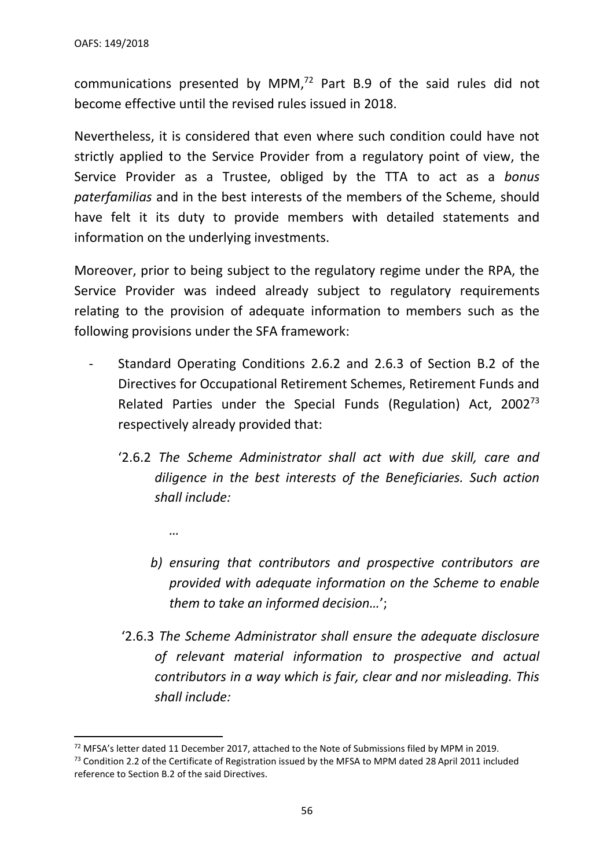*…*

communications presented by MPM, $72$  Part B.9 of the said rules did not become effective until the revised rules issued in 2018.

Nevertheless, it is considered that even where such condition could have not strictly applied to the Service Provider from a regulatory point of view, the Service Provider as a Trustee, obliged by the TTA to act as a *bonus paterfamilias* and in the best interests of the members of the Scheme, should have felt it its duty to provide members with detailed statements and information on the underlying investments.

Moreover, prior to being subject to the regulatory regime under the RPA, the Service Provider was indeed already subject to regulatory requirements relating to the provision of adequate information to members such as the following provisions under the SFA framework:

- Standard Operating Conditions 2.6.2 and 2.6.3 of Section B.2 of the Directives for Occupational Retirement Schemes, Retirement Funds and Related Parties under the Special Funds (Regulation) Act, 2002<sup>73</sup> respectively already provided that:
	- '2.6.2 *The Scheme Administrator shall act with due skill, care and diligence in the best interests of the Beneficiaries. Such action shall include:*
		- *b) ensuring that contributors and prospective contributors are provided with adequate information on the Scheme to enable them to take an informed decision…*';
	- '2.6.3 *The Scheme Administrator shall ensure the adequate disclosure of relevant material information to prospective and actual contributors in a way which is fair, clear and nor misleading. This shall include:*

<sup>&</sup>lt;sup>72</sup> MFSA's letter dated 11 December 2017, attached to the Note of Submissions filed by MPM in 2019.

<sup>&</sup>lt;sup>73</sup> Condition 2.2 of the Certificate of Registration issued by the MFSA to MPM dated 28 April 2011 included reference to Section B.2 of the said Directives.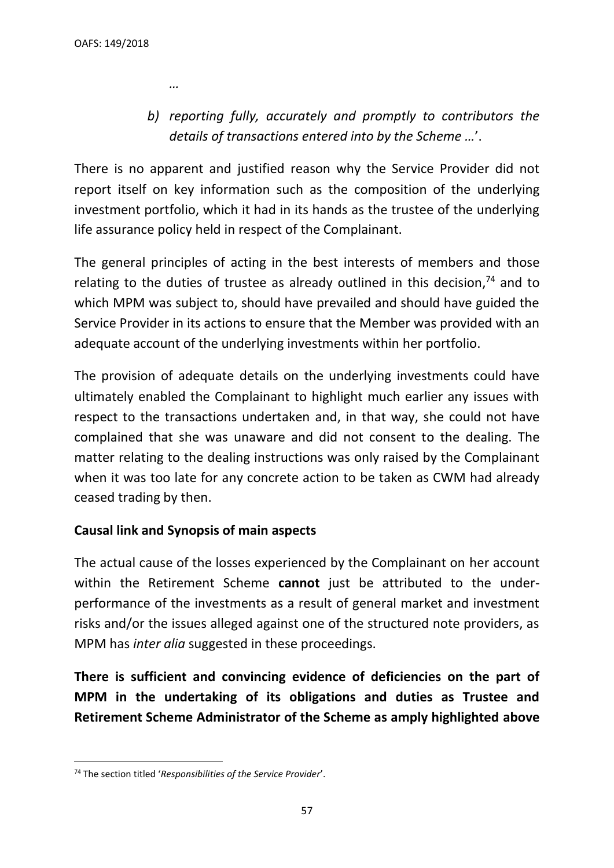*…*

*b) reporting fully, accurately and promptly to contributors the details of transactions entered into by the Scheme …*'.

There is no apparent and justified reason why the Service Provider did not report itself on key information such as the composition of the underlying investment portfolio, which it had in its hands as the trustee of the underlying life assurance policy held in respect of the Complainant.

The general principles of acting in the best interests of members and those relating to the duties of trustee as already outlined in this decision, $74$  and to which MPM was subject to, should have prevailed and should have guided the Service Provider in its actions to ensure that the Member was provided with an adequate account of the underlying investments within her portfolio.

The provision of adequate details on the underlying investments could have ultimately enabled the Complainant to highlight much earlier any issues with respect to the transactions undertaken and, in that way, she could not have complained that she was unaware and did not consent to the dealing. The matter relating to the dealing instructions was only raised by the Complainant when it was too late for any concrete action to be taken as CWM had already ceased trading by then.

## **Causal link and Synopsis of main aspects**

The actual cause of the losses experienced by the Complainant on her account within the Retirement Scheme **cannot** just be attributed to the underperformance of the investments as a result of general market and investment risks and/or the issues alleged against one of the structured note providers, as MPM has *inter alia* suggested in these proceedings.

**There is sufficient and convincing evidence of deficiencies on the part of MPM in the undertaking of its obligations and duties as Trustee and Retirement Scheme Administrator of the Scheme as amply highlighted above** 

<sup>74</sup> The section titled '*Responsibilities of the Service Provider*'.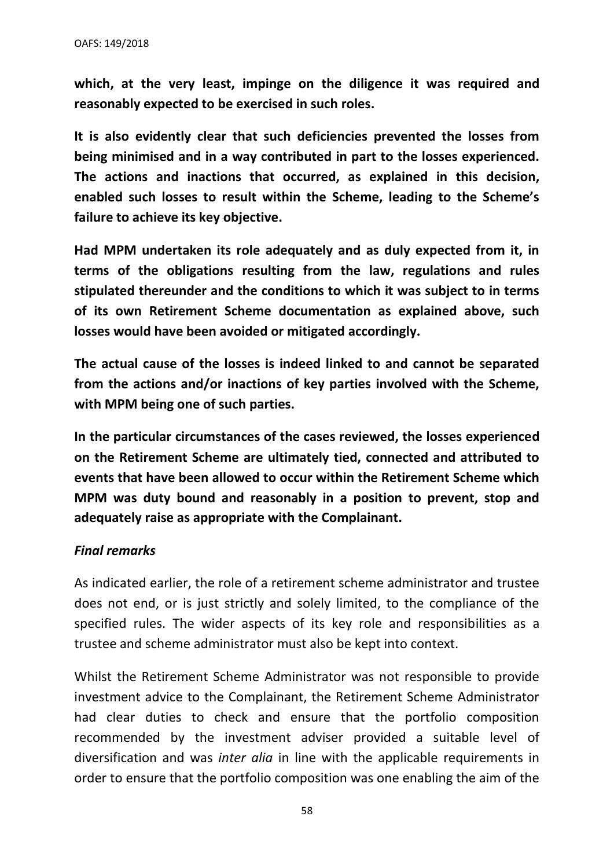**which, at the very least, impinge on the diligence it was required and reasonably expected to be exercised in such roles.**

**It is also evidently clear that such deficiencies prevented the losses from being minimised and in a way contributed in part to the losses experienced. The actions and inactions that occurred, as explained in this decision, enabled such losses to result within the Scheme, leading to the Scheme's failure to achieve its key objective.**

**Had MPM undertaken its role adequately and as duly expected from it, in terms of the obligations resulting from the law, regulations and rules stipulated thereunder and the conditions to which it was subject to in terms of its own Retirement Scheme documentation as explained above, such losses would have been avoided or mitigated accordingly.**

**The actual cause of the losses is indeed linked to and cannot be separated from the actions and/or inactions of key parties involved with the Scheme, with MPM being one of such parties.**

**In the particular circumstances of the cases reviewed, the losses experienced on the Retirement Scheme are ultimately tied, connected and attributed to events that have been allowed to occur within the Retirement Scheme which MPM was duty bound and reasonably in a position to prevent, stop and adequately raise as appropriate with the Complainant.**

#### *Final remarks*

As indicated earlier, the role of a retirement scheme administrator and trustee does not end, or is just strictly and solely limited, to the compliance of the specified rules. The wider aspects of its key role and responsibilities as a trustee and scheme administrator must also be kept into context.

Whilst the Retirement Scheme Administrator was not responsible to provide investment advice to the Complainant, the Retirement Scheme Administrator had clear duties to check and ensure that the portfolio composition recommended by the investment adviser provided a suitable level of diversification and was *inter alia* in line with the applicable requirements in order to ensure that the portfolio composition was one enabling the aim of the

58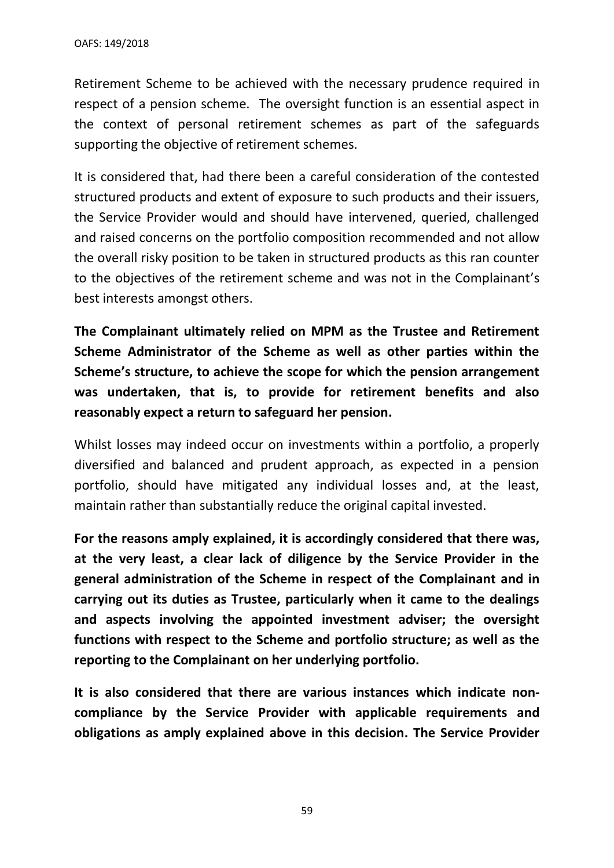Retirement Scheme to be achieved with the necessary prudence required in respect of a pension scheme. The oversight function is an essential aspect in the context of personal retirement schemes as part of the safeguards supporting the objective of retirement schemes.

It is considered that, had there been a careful consideration of the contested structured products and extent of exposure to such products and their issuers, the Service Provider would and should have intervened, queried, challenged and raised concerns on the portfolio composition recommended and not allow the overall risky position to be taken in structured products as this ran counter to the objectives of the retirement scheme and was not in the Complainant's best interests amongst others.

**The Complainant ultimately relied on MPM as the Trustee and Retirement Scheme Administrator of the Scheme as well as other parties within the Scheme's structure, to achieve the scope for which the pension arrangement was undertaken, that is, to provide for retirement benefits and also reasonably expect a return to safeguard her pension.**

Whilst losses may indeed occur on investments within a portfolio, a properly diversified and balanced and prudent approach, as expected in a pension portfolio, should have mitigated any individual losses and, at the least, maintain rather than substantially reduce the original capital invested.

**For the reasons amply explained, it is accordingly considered that there was, at the very least, a clear lack of diligence by the Service Provider in the general administration of the Scheme in respect of the Complainant and in carrying out its duties as Trustee, particularly when it came to the dealings and aspects involving the appointed investment adviser; the oversight functions with respect to the Scheme and portfolio structure; as well as the reporting to the Complainant on her underlying portfolio.** 

**It is also considered that there are various instances which indicate noncompliance by the Service Provider with applicable requirements and obligations as amply explained above in this decision. The Service Provider**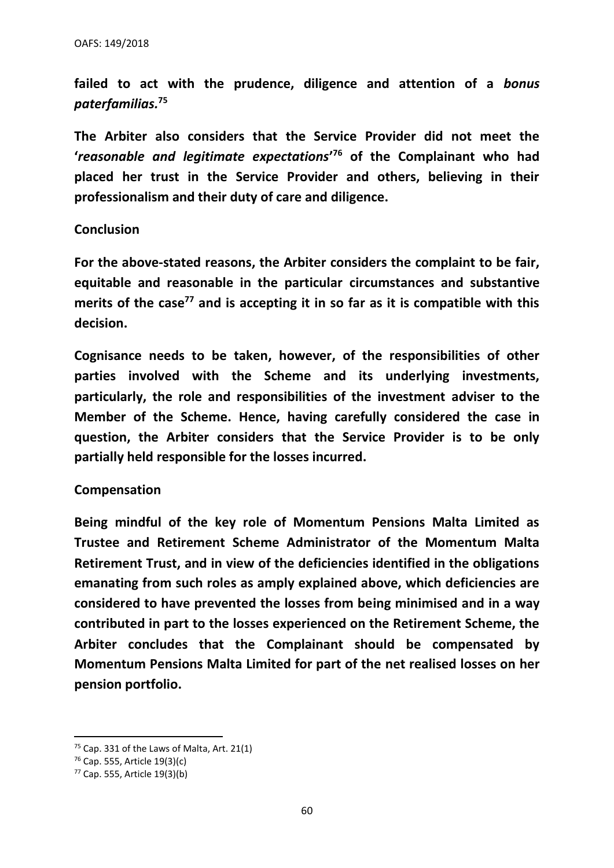**failed to act with the prudence, diligence and attention of a** *bonus paterfamilias.***<sup>75</sup>**

**The Arbiter also considers that the Service Provider did not meet the '***reasonable and legitimate expectations***' <sup>76</sup> of the Complainant who had placed her trust in the Service Provider and others, believing in their professionalism and their duty of care and diligence.** 

#### **Conclusion**

**For the above-stated reasons, the Arbiter considers the complaint to be fair, equitable and reasonable in the particular circumstances and substantive merits of the case<sup>77</sup> and is accepting it in so far as it is compatible with this decision.**

**Cognisance needs to be taken, however, of the responsibilities of other parties involved with the Scheme and its underlying investments, particularly, the role and responsibilities of the investment adviser to the Member of the Scheme. Hence, having carefully considered the case in question, the Arbiter considers that the Service Provider is to be only partially held responsible for the losses incurred.**

#### **Compensation**

**Being mindful of the key role of Momentum Pensions Malta Limited as Trustee and Retirement Scheme Administrator of the Momentum Malta Retirement Trust, and in view of the deficiencies identified in the obligations emanating from such roles as amply explained above, which deficiencies are considered to have prevented the losses from being minimised and in a way contributed in part to the losses experienced on the Retirement Scheme, the Arbiter concludes that the Complainant should be compensated by Momentum Pensions Malta Limited for part of the net realised losses on her pension portfolio.** 

 $75$  Cap. 331 of the Laws of Malta, Art. 21(1)

<sup>76</sup> Cap. 555, Article 19(3)(c)

<sup>77</sup> Cap. 555, Article 19(3)(b)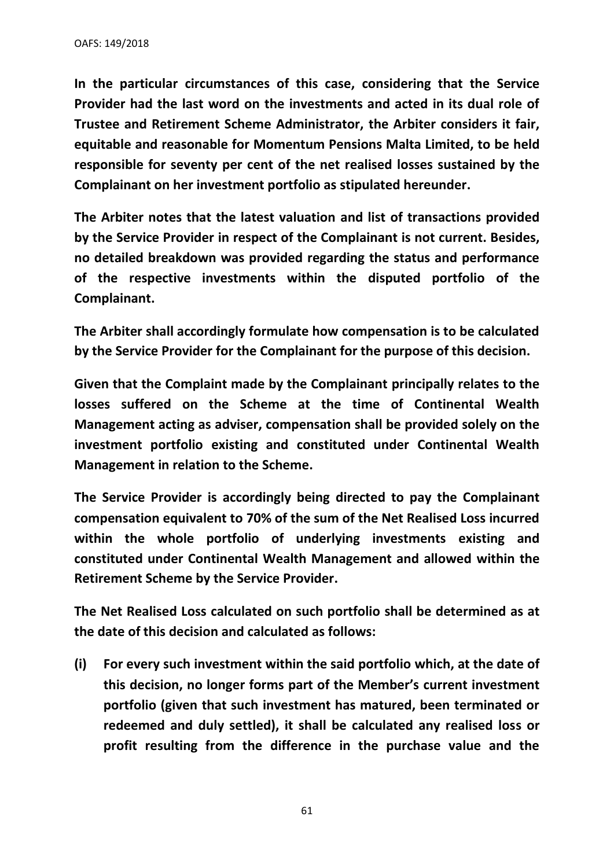**In the particular circumstances of this case, considering that the Service Provider had the last word on the investments and acted in its dual role of Trustee and Retirement Scheme Administrator, the Arbiter considers it fair, equitable and reasonable for Momentum Pensions Malta Limited, to be held responsible for seventy per cent of the net realised losses sustained by the Complainant on her investment portfolio as stipulated hereunder.** 

**The Arbiter notes that the latest valuation and list of transactions provided by the Service Provider in respect of the Complainant is not current. Besides, no detailed breakdown was provided regarding the status and performance of the respective investments within the disputed portfolio of the Complainant.** 

**The Arbiter shall accordingly formulate how compensation is to be calculated by the Service Provider for the Complainant for the purpose of this decision.** 

**Given that the Complaint made by the Complainant principally relates to the losses suffered on the Scheme at the time of Continental Wealth Management acting as adviser, compensation shall be provided solely on the investment portfolio existing and constituted under Continental Wealth Management in relation to the Scheme.** 

**The Service Provider is accordingly being directed to pay the Complainant compensation equivalent to 70% of the sum of the Net Realised Loss incurred within the whole portfolio of underlying investments existing and constituted under Continental Wealth Management and allowed within the Retirement Scheme by the Service Provider.** 

**The Net Realised Loss calculated on such portfolio shall be determined as at the date of this decision and calculated as follows:**

**(i) For every such investment within the said portfolio which, at the date of this decision, no longer forms part of the Member's current investment portfolio (given that such investment has matured, been terminated or redeemed and duly settled), it shall be calculated any realised loss or profit resulting from the difference in the purchase value and the** 

61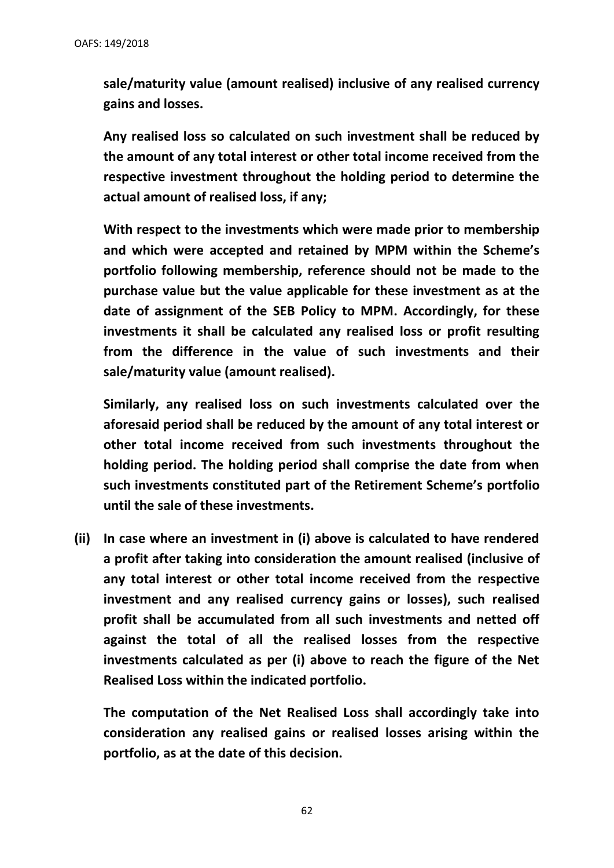**sale/maturity value (amount realised) inclusive of any realised currency gains and losses.**

**Any realised loss so calculated on such investment shall be reduced by the amount of any total interest or other total income received from the respective investment throughout the holding period to determine the actual amount of realised loss, if any;**

**With respect to the investments which were made prior to membership and which were accepted and retained by MPM within the Scheme's portfolio following membership, reference should not be made to the purchase value but the value applicable for these investment as at the date of assignment of the SEB Policy to MPM. Accordingly, for these investments it shall be calculated any realised loss or profit resulting from the difference in the value of such investments and their sale/maturity value (amount realised).** 

**Similarly, any realised loss on such investments calculated over the aforesaid period shall be reduced by the amount of any total interest or other total income received from such investments throughout the holding period. The holding period shall comprise the date from when such investments constituted part of the Retirement Scheme's portfolio until the sale of these investments.**

**(ii) In case where an investment in (i) above is calculated to have rendered a profit after taking into consideration the amount realised (inclusive of any total interest or other total income received from the respective investment and any realised currency gains or losses), such realised profit shall be accumulated from all such investments and netted off against the total of all the realised losses from the respective investments calculated as per (i) above to reach the figure of the Net Realised Loss within the indicated portfolio.**

**The computation of the Net Realised Loss shall accordingly take into consideration any realised gains or realised losses arising within the portfolio, as at the date of this decision.**